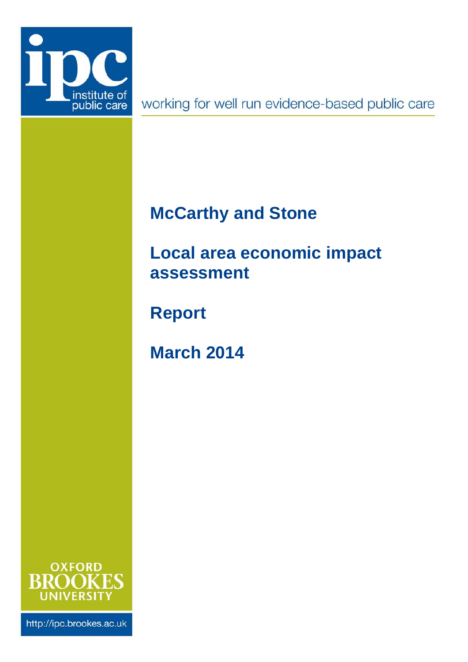

working for well run evidence-based public care

# <span id="page-0-1"></span>**McCarthy and Stone**

# <span id="page-0-0"></span>**Local area economic impact assessment**

**Report**

**March 2014**



http://ipc.brookes.ac.uk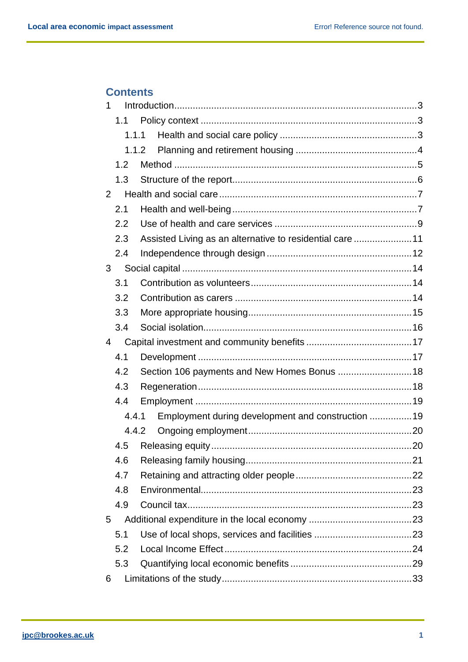# **Contents**

| 1 |       |                                                          |  |
|---|-------|----------------------------------------------------------|--|
|   | 1.1   |                                                          |  |
|   | 1.1.1 |                                                          |  |
|   |       | 1.1.2                                                    |  |
|   | 1.2   |                                                          |  |
|   | 1.3   |                                                          |  |
| 2 |       |                                                          |  |
|   | 2.1   |                                                          |  |
|   | 2.2   |                                                          |  |
|   | 2.3   | Assisted Living as an alternative to residential care 11 |  |
|   | 2.4   |                                                          |  |
| 3 |       |                                                          |  |
|   | 3.1   |                                                          |  |
|   | 3.2   |                                                          |  |
|   | 3.3   |                                                          |  |
|   | 3.4   |                                                          |  |
| 4 |       |                                                          |  |
|   | 4.1   |                                                          |  |
|   | 4.2   | Section 106 payments and New Homes Bonus  18             |  |
|   | 4.3   |                                                          |  |
|   | 4.4   |                                                          |  |
|   | 4.4.1 | Employment during development and construction  19       |  |
|   | 4.4.2 |                                                          |  |
|   | 4.5   |                                                          |  |
|   | 4.6   |                                                          |  |
|   | 4.7   |                                                          |  |
|   | 4.8   |                                                          |  |
|   | 4.9   |                                                          |  |
| 5 |       |                                                          |  |
|   | 5.1   |                                                          |  |
|   | 5.2   |                                                          |  |
|   | 5.3   |                                                          |  |
| 6 |       |                                                          |  |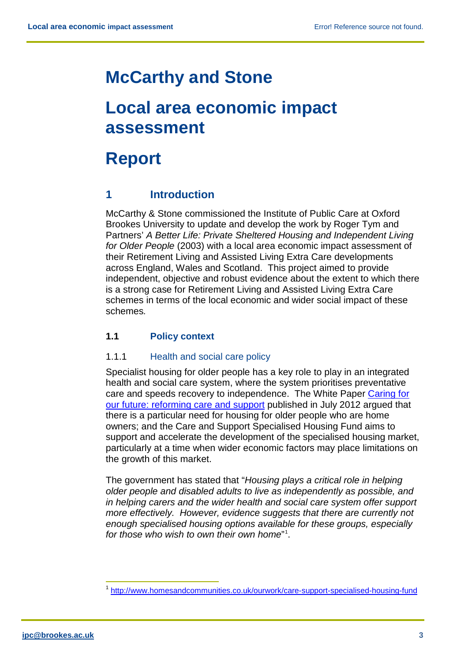# **[McCarthy and Stone](#page-0-1)**

# **[Local area economic impact](#page-0-0)  [assessment](#page-0-0)**

# **Report**

# <span id="page-3-0"></span>**1 Introduction**

McCarthy & Stone commissioned the Institute of Public Care at Oxford Brookes University to update and develop the work by Roger Tym and Partners' *A Better Life: Private Sheltered Housing and Independent Living for Older People* (2003) with a local area economic impact assessment of their Retirement Living and Assisted Living Extra Care developments across England, Wales and Scotland. This project aimed to provide independent, objective and robust evidence about the extent to which there is a strong case for Retirement Living and Assisted Living Extra Care schemes in terms of the local economic and wider social impact of these schemes*.* 

# <span id="page-3-1"></span>**1.1 Policy context**

## <span id="page-3-2"></span>1.1.1 Health and social care policy

Specialist housing for older people has a key role to play in an integrated health and social care system, where the system prioritises preventative care and speeds recovery to independence. The White Paper [Caring for](http://www.dh.gov.uk/health/2012/07/careandsupportwhitepaper/)  [our future: reforming care and support](http://www.dh.gov.uk/health/2012/07/careandsupportwhitepaper/) published in July 2012 argued that there is a particular need for housing for older people who are home owners; and the Care and Support Specialised Housing Fund aims to support and accelerate the development of the specialised housing market, particularly at a time when wider economic factors may place limitations on the growth of this market.

The government has stated that "*Housing plays a critical role in helping older people and disabled adults to live as independently as possible, and in helping carers and the wider health and social care system offer support more effectively. However, evidence suggests that there are currently not enough specialised housing options available for these groups, especially for those who wish to own their own home*" [1](#page-3-3) .

<span id="page-3-3"></span> <sup>1</sup> <http://www.homesandcommunities.co.uk/ourwork/care-support-specialised-housing-fund>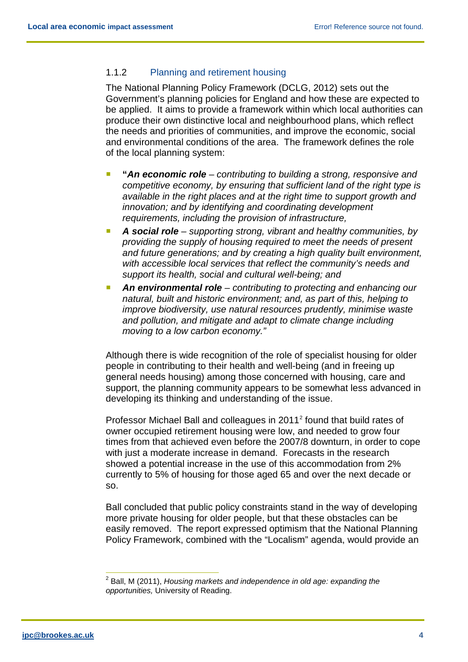## <span id="page-4-0"></span>1.1.2 Planning and retirement housing

The National Planning Policy Framework (DCLG, 2012) sets out the Government's planning policies for England and how these are expected to be applied. It aims to provide a framework within which local authorities can produce their own distinctive local and neighbourhood plans, which reflect the needs and priorities of communities, and improve the economic, social and environmental conditions of the area. The framework defines the role of the local planning system:

- **"***An economic role – contributing to building a strong, responsive and competitive economy, by ensuring that sufficient land of the right type is available in the right places and at the right time to support growth and innovation; and by identifying and coordinating development requirements, including the provision of infrastructure,*
- **A social role** *supporting strong, vibrant and healthy communities, by providing the supply of housing required to meet the needs of present and future generations; and by creating a high quality built environment, with accessible local services that reflect the community's needs and support its health, social and cultural well-being; and*
- An environmental role *contributing to protecting and enhancing our natural, built and historic environment; and, as part of this, helping to improve biodiversity, use natural resources prudently, minimise waste and pollution, and mitigate and adapt to climate change including moving to a low carbon economy."*

Although there is wide recognition of the role of specialist housing for older people in contributing to their health and well-being (and in freeing up general needs housing) among those concerned with housing, care and support, the planning community appears to be somewhat less advanced in developing its thinking and understanding of the issue.

Professor Michael Ball and colleagues in [2](#page-4-1)011<sup>2</sup> found that build rates of owner occupied retirement housing were low, and needed to grow four times from that achieved even before the 2007/8 downturn, in order to cope with just a moderate increase in demand. Forecasts in the research showed a potential increase in the use of this accommodation from 2% currently to 5% of housing for those aged 65 and over the next decade or so.

Ball concluded that public policy constraints stand in the way of developing more private housing for older people, but that these obstacles can be easily removed. The report expressed optimism that the National Planning Policy Framework, combined with the "Localism" agenda, would provide an

<span id="page-4-1"></span> <sup>2</sup> Ball, M (2011), *Housing markets and independence in old age: expanding the opportunities,* University of Reading.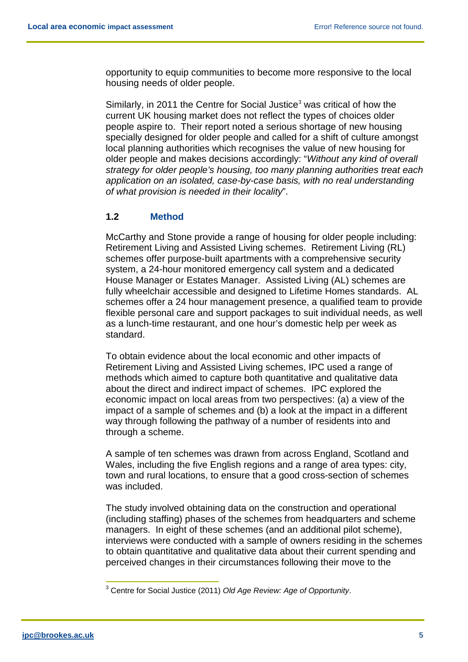opportunity to equip communities to become more responsive to the local housing needs of older people.

Similarly, in 2011 the Centre for Social Justice<sup>[3](#page-5-1)</sup> was critical of how the current UK housing market does not reflect the types of choices older people aspire to. Their report noted a serious shortage of new housing specially designed for older people and called for a shift of culture amongst local planning authorities which recognises the value of new housing for older people and makes decisions accordingly: "*Without any kind of overall strategy for older people's housing, too many planning authorities treat each application on an isolated, case-by-case basis, with no real understanding of what provision is needed in their locality*".

#### <span id="page-5-0"></span>**1.2 Method**

McCarthy and Stone provide a range of housing for older people including: Retirement Living and Assisted Living schemes. Retirement Living (RL) schemes offer purpose-built apartments with a comprehensive security system, a 24-hour monitored emergency call system and a dedicated House Manager or Estates Manager. Assisted Living (AL) schemes are fully wheelchair accessible and designed to Lifetime Homes standards. AL schemes offer a 24 hour management presence, a qualified team to provide flexible personal care and support packages to suit individual needs, as well as a lunch-time restaurant, and one hour's domestic help per week as standard.

To obtain evidence about the local economic and other impacts of Retirement Living and Assisted Living schemes, IPC used a range of methods which aimed to capture both quantitative and qualitative data about the direct and indirect impact of schemes. IPC explored the economic impact on local areas from two perspectives: (a) a view of the impact of a sample of schemes and (b) a look at the impact in a different way through following the pathway of a number of residents into and through a scheme.

A sample of ten schemes was drawn from across England, Scotland and Wales, including the five English regions and a range of area types: city, town and rural locations, to ensure that a good cross-section of schemes was included.

The study involved obtaining data on the construction and operational (including staffing) phases of the schemes from headquarters and scheme managers. In eight of these schemes (and an additional pilot scheme), interviews were conducted with a sample of owners residing in the schemes to obtain quantitative and qualitative data about their current spending and perceived changes in their circumstances following their move to the

<span id="page-5-1"></span> <sup>3</sup> Centre for Social Justice (2011) *Old Age Review: Age of Opportunity*.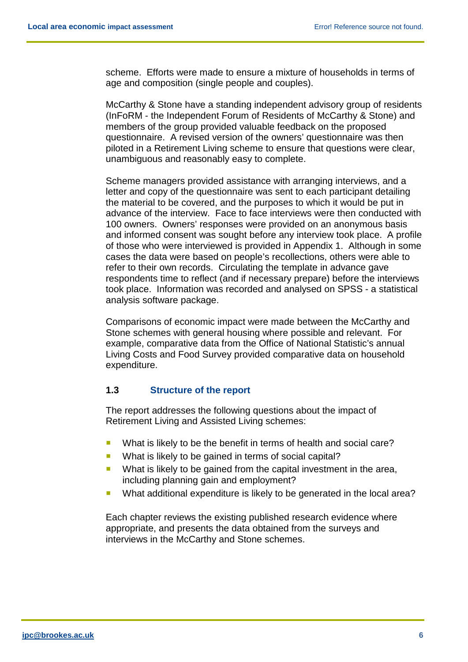scheme. Efforts were made to ensure a mixture of households in terms of age and composition (single people and couples).

McCarthy & Stone have a standing independent advisory group of residents (InFoRM - the Independent Forum of Residents of McCarthy & Stone) and members of the group provided valuable feedback on the proposed questionnaire. A revised version of the owners' questionnaire was then piloted in a Retirement Living scheme to ensure that questions were clear, unambiguous and reasonably easy to complete.

Scheme managers provided assistance with arranging interviews, and a letter and copy of the questionnaire was sent to each participant detailing the material to be covered, and the purposes to which it would be put in advance of the interview. Face to face interviews were then conducted with 100 owners. Owners' responses were provided on an anonymous basis and informed consent was sought before any interview took place. A profile of those who were interviewed is provided in Appendix 1. Although in some cases the data were based on people's recollections, others were able to refer to their own records. Circulating the template in advance gave respondents time to reflect (and if necessary prepare) before the interviews took place. Information was recorded and analysed on SPSS - a statistical analysis software package.

Comparisons of economic impact were made between the McCarthy and Stone schemes with general housing where possible and relevant. For example, comparative data from the Office of National Statistic's annual Living Costs and Food Survey provided comparative data on household expenditure.

#### <span id="page-6-0"></span>**1.3 Structure of the report**

The report addresses the following questions about the impact of Retirement Living and Assisted Living schemes:

- What is likely to be the benefit in terms of health and social care?
- What is likely to be gained in terms of social capital?
- What is likely to be gained from the capital investment in the area, including planning gain and employment?
- What additional expenditure is likely to be generated in the local area?

Each chapter reviews the existing published research evidence where appropriate, and presents the data obtained from the surveys and interviews in the McCarthy and Stone schemes.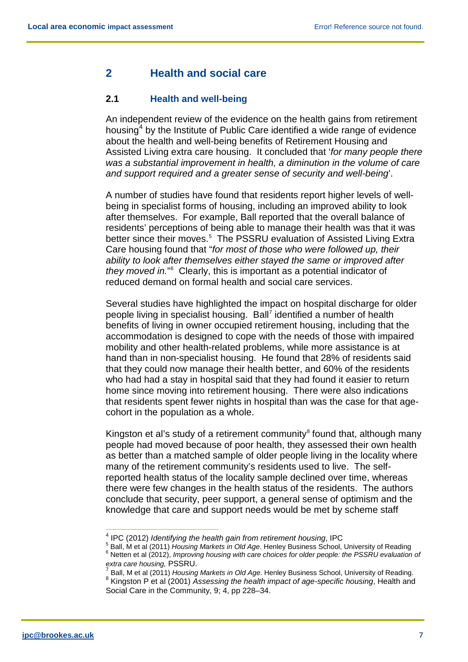# <span id="page-7-0"></span>**2 Health and social care**

## <span id="page-7-1"></span>**2.1 Health and well-being**

An independent review of the evidence on the health gains from retirement housing<sup>[4](#page-7-2)</sup> by the Institute of Public Care identified a wide range of evidence about the health and well-being benefits of Retirement Housing and Assisted Living extra care housing. It concluded that '*for many people there was a substantial improvement in health, a diminution in the volume of care and support required and a greater sense of security and well-being*'.

A number of studies have found that residents report higher levels of wellbeing in specialist forms of housing, including an improved ability to look after themselves. For example, Ball reported that the overall balance of residents' perceptions of being able to manage their health was that it was better since their moves.<sup>[5](#page-7-3)</sup> The PSSRU evaluation of Assisted Living Extra Care housing found that "*for most of those who were followed up, their ability to look after themselves either stayed the same or improved after they moved in.*" [6](#page-7-4) Clearly, this is important as a potential indicator of reduced demand on formal health and social care services.

Several studies have highlighted the impact on hospital discharge for older people living in specialist housing. Ball<sup>[7](#page-7-5)</sup> identified a number of health benefits of living in owner occupied retirement housing, including that the accommodation is designed to cope with the needs of those with impaired mobility and other health-related problems, while more assistance is at hand than in non-specialist housing. He found that 28% of residents said that they could now manage their health better, and 60% of the residents who had had a stay in hospital said that they had found it easier to return home since moving into retirement housing. There were also indications that residents spent fewer nights in hospital than was the case for that agecohort in the population as a whole.

Kingston et al's study of a retirement community<sup>[8](#page-7-6)</sup> found that, although many people had moved because of poor health, they assessed their own health as better than a matched sample of older people living in the locality where many of the retirement community's residents used to live. The selfreported health status of the locality sample declined over time, whereas there were few changes in the health status of the residents. The authors conclude that security, peer support, a general sense of optimism and the knowledge that care and support needs would be met by scheme staff

<span id="page-7-4"></span><span id="page-7-3"></span><span id="page-7-2"></span><sup>&</sup>lt;sup>4</sup> IPC (2012) *Identifying the health gain from retirement housing*, IPC<br><sup>5</sup> Ball, M et al (2011) *Housing Markets in Old Age*. Henley Business School, University of Reading <sup>6</sup> Netten et al (2012), *Improving housing with care choices for older people: the PSSRU evaluation of extra care housing, PSSRU.* 

<span id="page-7-6"></span><span id="page-7-5"></span> $\frac{7}{8}$  Ball, M et al (2011) *Housing Markets in Old Age.* Henley Business School, University of Reading.<br><sup>8</sup> Kingston P et al (2001) *Assessing the health impact of age-specific housing*, Health and Social Care in the Community, 9; 4, pp 228–34.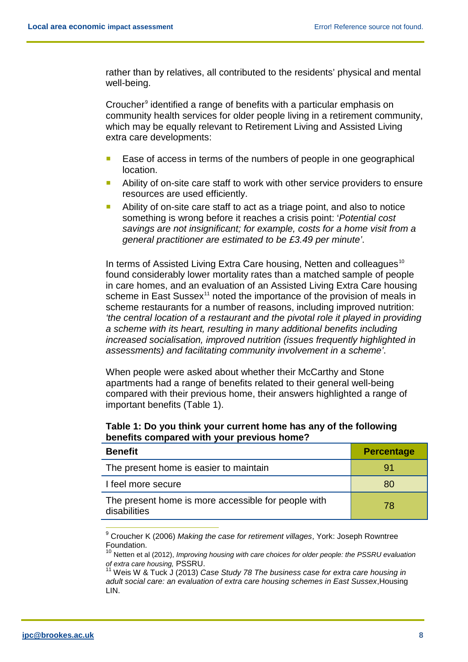rather than by relatives, all contributed to the residents' physical and mental well-being.

Croucher<sup>[9](#page-8-0)</sup> identified a range of benefits with a particular emphasis on community health services for older people living in a retirement community, which may be equally relevant to Retirement Living and Assisted Living extra care developments:

- Ease of access in terms of the numbers of people in one geographical location.
- Ability of on-site care staff to work with other service providers to ensure resources are used efficiently.
- Ability of on-site care staff to act as a triage point, and also to notice something is wrong before it reaches a crisis point: '*Potential cost savings are not insignificant; for example, costs for a home visit from a general practitioner are estimated to be £3.49 per minute'*.

In terms of Assisted Living Extra Care housing, Netten and colleagues<sup>[10](#page-8-1)</sup> found considerably lower mortality rates than a matched sample of people in care homes, and an evaluation of an Assisted Living Extra Care housing scheme in East Sussex $11$  noted the importance of the provision of meals in scheme restaurants for a number of reasons, including improved nutrition: *'the central location of a restaurant and the pivotal role it played in providing a scheme with its heart, resulting in many additional benefits including increased socialisation, improved nutrition (issues frequently highlighted in assessments) and facilitating community involvement in a scheme'*.

When people were asked about whether their McCarthy and Stone apartments had a range of benefits related to their general well-being compared with their previous home, their answers highlighted a range of important benefits (Table 1).

| Table 1: Do you think your current home has any of the following |  |
|------------------------------------------------------------------|--|
| benefits compared with your previous home?                       |  |

| <b>Benefit</b>                                                      | <b>Percentage</b> |
|---------------------------------------------------------------------|-------------------|
| The present home is easier to maintain                              | 91                |
| I feel more secure                                                  | 80                |
| The present home is more accessible for people with<br>disabilities | 78                |

<span id="page-8-0"></span> <sup>9</sup> Croucher K (2006) *Making the case for retirement villages*, York: Joseph Rowntree Foundation.

<span id="page-8-1"></span><sup>10</sup> Netten et al (2012), *Improving housing with care choices for older people: the PSSRU evaluation of extra care housing,* PSSRU.

<span id="page-8-2"></span><sup>&</sup>lt;sup>11</sup> Weis W & Tuck J (2013) *Case Study 78 The business case for extra care housing in adult social care: an evaluation of extra care housing schemes in East Sussex*,Housing LIN.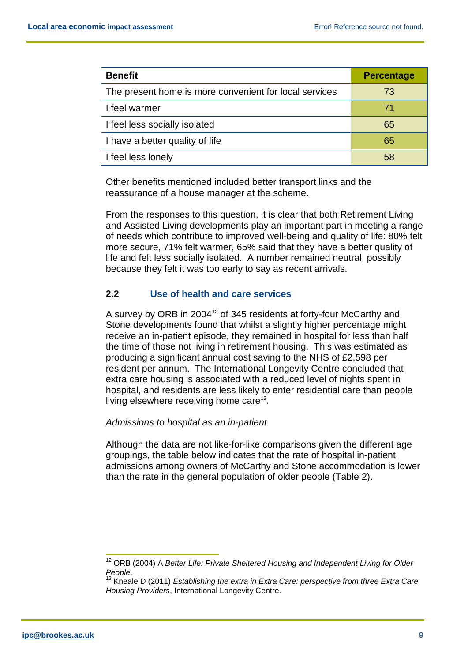| <b>Benefit</b>                                         | <b>Percentage</b> |
|--------------------------------------------------------|-------------------|
| The present home is more convenient for local services | 73                |
| I feel warmer                                          | 71                |
| I feel less socially isolated                          | 65                |
| I have a better quality of life                        | 65                |
| I feel less lonely                                     | 58                |

Other benefits mentioned included better transport links and the reassurance of a house manager at the scheme.

From the responses to this question, it is clear that both Retirement Living and Assisted Living developments play an important part in meeting a range of needs which contribute to improved well-being and quality of life: 80% felt more secure, 71% felt warmer, 65% said that they have a better quality of life and felt less socially isolated. A number remained neutral, possibly because they felt it was too early to say as recent arrivals.

## <span id="page-9-0"></span>**2.2 Use of health and care services**

A survey by ORB in 2004 $12$  of 345 residents at forty-four McCarthy and Stone developments found that whilst a slightly higher percentage might receive an in-patient episode, they remained in hospital for less than half the time of those not living in retirement housing. This was estimated as producing a significant annual cost saving to the NHS of £2,598 per resident per annum. The International Longevity Centre concluded that extra care housing is associated with a reduced level of nights spent in hospital, and residents are less likely to enter residential care than people living elsewhere receiving home care<sup>[13](#page-9-2)</sup>.

#### *Admissions to hospital as an in-patient*

Although the data are not like-for-like comparisons given the different age groupings, the table below indicates that the rate of hospital in-patient admissions among owners of McCarthy and Stone accommodation is lower than the rate in the general population of older people (Table 2).

<span id="page-9-1"></span><sup>&</sup>lt;sup>12</sup> ORB (2004) A Better Life: Private Sheltered Housing and Independent Living for Older *People.*<br><sup>13</sup> Kneale D (2011) *Establishing the extra in Extra Care: perspective from three Extra Care* 

<span id="page-9-2"></span>*Housing Providers*, International Longevity Centre.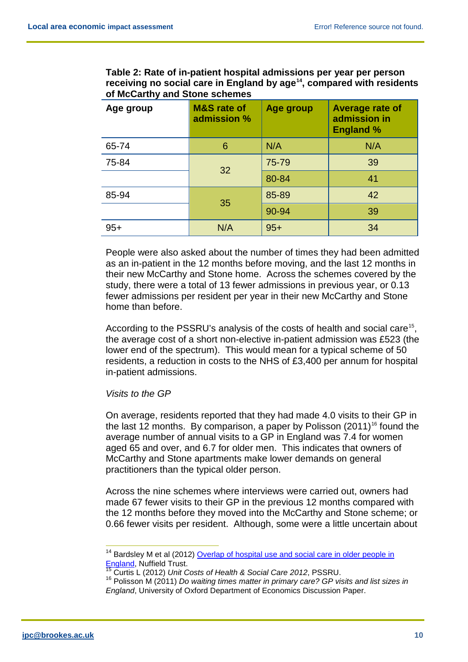**Table 2: Rate of in-patient hospital admissions per year per person receiving no social care in England by age[14](#page-10-0), compared with residents of McCarthy and Stone schemes**

| Age group | <b>M&amp;S</b> rate of<br>admission % | Age group | <b>Average rate of</b><br>admission in<br><b>England %</b> |
|-----------|---------------------------------------|-----------|------------------------------------------------------------|
| 65-74     | 6                                     | N/A       | N/A                                                        |
| 75-84     | 32                                    | 75-79     | 39                                                         |
|           |                                       | 80-84     | 41                                                         |
| 85-94     | 35                                    | 85-89     | 42                                                         |
|           |                                       | 90-94     | 39                                                         |
| $95+$     | N/A                                   | $95+$     | 34                                                         |

People were also asked about the number of times they had been admitted as an in-patient in the 12 months before moving, and the last 12 months in their new McCarthy and Stone home. Across the schemes covered by the study, there were a total of 13 fewer admissions in previous year, or 0.13 fewer admissions per resident per year in their new McCarthy and Stone home than before.

According to the PSSRU's analysis of the costs of health and social care<sup>[15](#page-10-1)</sup>, the average cost of a short non-elective in-patient admission was £523 (the lower end of the spectrum). This would mean for a typical scheme of 50 residents, a reduction in costs to the NHS of £3,400 per annum for hospital in-patient admissions.

#### *Visits to the GP*

On average, residents reported that they had made 4.0 visits to their GP in the last 12 months. By comparison, a paper by Polisson  $(2011)^{16}$  $(2011)^{16}$  $(2011)^{16}$  found the average number of annual visits to a GP in England was 7.4 for women aged 65 and over, and 6.7 for older men. This indicates that owners of McCarthy and Stone apartments make lower demands on general practitioners than the typical older person.

Across the nine schemes where interviews were carried out, owners had made 67 fewer visits to their GP in the previous 12 months compared with the 12 months before they moved into the McCarthy and Stone scheme; or 0.66 fewer visits per resident. Although, some were a little uncertain about

<span id="page-10-0"></span><sup>&</sup>lt;sup>14</sup> Bardsley M et al (2012) Overlap of hospital use and social care in older people in [England,](http://jhsrp.rsmjournals.com/content/early/2012/02/20/jhsrp.2011.010171.full.pdf) Nuffield Trust.

<sup>15</sup> Curtis L (2012) *Unit Costs of Health & Social Care 2012*, PSSRU.

<span id="page-10-2"></span><span id="page-10-1"></span><sup>&</sup>lt;sup>16</sup> Polisson M (2011) *Do waiting times matter in primary care? GP visits and list sizes in England*, University of Oxford Department of Economics Discussion Paper.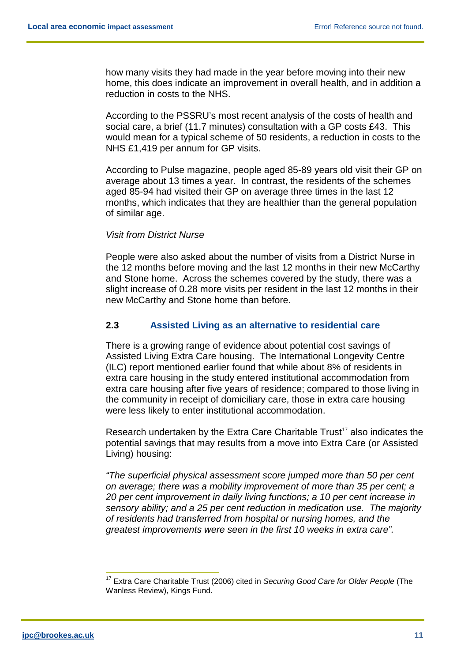how many visits they had made in the year before moving into their new home, this does indicate an improvement in overall health, and in addition a reduction in costs to the NHS.

According to the PSSRU's most recent analysis of the costs of health and social care, a brief (11.7 minutes) consultation with a GP costs £43. This would mean for a typical scheme of 50 residents, a reduction in costs to the NHS £1,419 per annum for GP visits.

According to Pulse magazine, people aged 85-89 years old visit their GP on average about 13 times a year. In contrast, the residents of the schemes aged 85-94 had visited their GP on average three times in the last 12 months, which indicates that they are healthier than the general population of similar age.

#### *Visit from District Nurse*

People were also asked about the number of visits from a District Nurse in the 12 months before moving and the last 12 months in their new McCarthy and Stone home. Across the schemes covered by the study, there was a slight increase of 0.28 more visits per resident in the last 12 months in their new McCarthy and Stone home than before.

## <span id="page-11-0"></span>**2.3 Assisted Living as an alternative to residential care**

There is a growing range of evidence about potential cost savings of Assisted Living Extra Care housing. The International Longevity Centre (ILC) report mentioned earlier found that while about 8% of residents in extra care housing in the study entered institutional accommodation from extra care housing after five years of residence; compared to those living in the community in receipt of domiciliary care, those in extra care housing were less likely to enter institutional accommodation.

Research undertaken by the Extra Care Charitable Trust<sup>17</sup> also indicates the potential savings that may results from a move into Extra Care (or Assisted Living) housing:

*"The superficial physical assessment score jumped more than 50 per cent on average; there was a mobility improvement of more than 35 per cent; a 20 per cent improvement in daily living functions; a 10 per cent increase in sensory ability; and a 25 per cent reduction in medication use. The majority of residents had transferred from hospital or nursing homes, and the greatest improvements were seen in the first 10 weeks in extra care".*

<span id="page-11-1"></span> <sup>17</sup> Extra Care Charitable Trust (2006) cited in *Securing Good Care for Older People* (The Wanless Review), Kings Fund.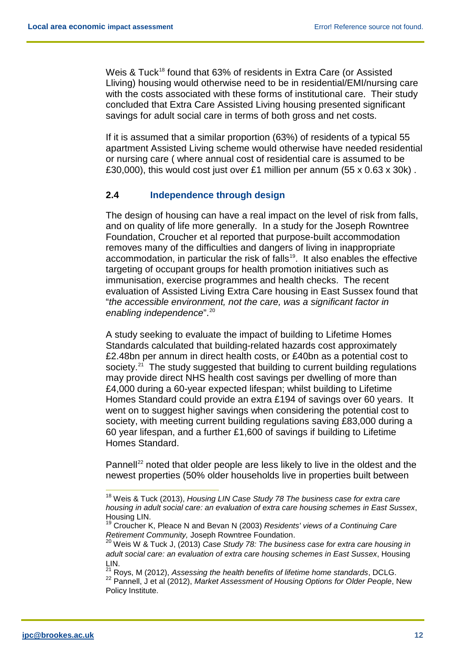Weis & Tuck<sup>18</sup> found that 63% of residents in Extra Care (or Assisted Lliving) housing would otherwise need to be in residential/EMI/nursing care with the costs associated with these forms of institutional care. Their study concluded that Extra Care Assisted Living housing presented significant savings for adult social care in terms of both gross and net costs.

If it is assumed that a similar proportion (63%) of residents of a typical 55 apartment Assisted Living scheme would otherwise have needed residential or nursing care ( where annual cost of residential care is assumed to be £30,000), this would cost just over £1 million per annum (55 x 0.63 x 30k).

#### <span id="page-12-0"></span>**2.4 Independence through design**

The design of housing can have a real impact on the level of risk from falls, and on quality of life more generally. In a study for the Joseph Rowntree Foundation, Croucher et al reported that purpose-built accommodation removes many of the difficulties and dangers of living in inappropriate accommodation, in particular the risk of falls<sup>19</sup>. It also enables the effective targeting of occupant groups for health promotion initiatives such as immunisation, exercise programmes and health checks. The recent evaluation of Assisted Living Extra Care housing in East Sussex found that "*the accessible environment, not the care, was a significant factor in enabling independence*".[20](#page-12-3) 

A study seeking to evaluate the impact of building to Lifetime Homes Standards calculated that building-related hazards cost approximately £2.48bn per annum in direct health costs, or £40bn as a potential cost to society.<sup>[21](#page-12-4)</sup> The study suggested that building to current building regulations may provide direct NHS health cost savings per dwelling of more than £4,000 during a 60-year expected lifespan; whilst building to Lifetime Homes Standard could provide an extra £194 of savings over 60 years. It went on to suggest higher savings when considering the potential cost to society, with meeting current building regulations saving £83,000 during a 60 year lifespan, and a further £1,600 of savings if building to Lifetime Homes Standard.

Pannell<sup>[22](#page-12-5)</sup> noted that older people are less likely to live in the oldest and the newest properties (50% older households live in properties built between

<span id="page-12-1"></span> <sup>18</sup> Weis & Tuck (2013), *Housing LIN Case Study 78 The business case for extra care housing in adult social care: an evaluation of extra care housing schemes in East Sussex*, Housing LIN.

<sup>19</sup> Croucher K, Pleace N and Bevan N (2003) *Residents' views of a Continuing Care Retirement Community,* Joseph Rowntree Foundation.

<span id="page-12-3"></span><span id="page-12-2"></span><sup>20</sup> Weis W & Tuck J, (2013) *Case Study 78: The business case for extra care housing in adult social care: an evaluation of extra care housing schemes in East Sussex*, Housing LIN.

<span id="page-12-5"></span><span id="page-12-4"></span><sup>21</sup> Roys, M (2012), *Assessing the health benefits of lifetime home standards*, DCLG. <sup>22</sup> Pannell, J et al (2012), *Market Assessment of Housing Options for Older People*, New Policy Institute.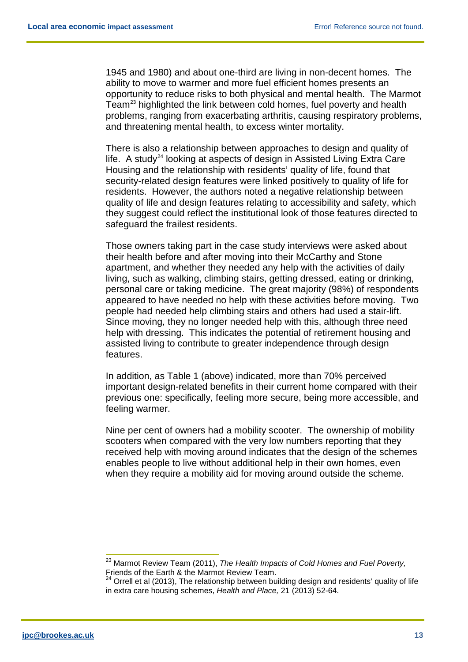1945 and 1980) and about one-third are living in non-decent homes. The ability to move to warmer and more fuel efficient homes presents an opportunity to reduce risks to both physical and mental health. The Marmot Team $^{23}$  $^{23}$  $^{23}$  highlighted the link between cold homes, fuel poverty and health problems, ranging from exacerbating arthritis, causing respiratory problems, and threatening mental health, to excess winter mortality.

There is also a relationship between approaches to design and quality of life. A study<sup>[24](#page-13-1)</sup> looking at aspects of design in Assisted Living Extra Care Housing and the relationship with residents' quality of life, found that security-related design features were linked positively to quality of life for residents. However, the authors noted a negative relationship between quality of life and design features relating to accessibility and safety, which they suggest could reflect the institutional look of those features directed to safeguard the frailest residents.

Those owners taking part in the case study interviews were asked about their health before and after moving into their McCarthy and Stone apartment, and whether they needed any help with the activities of daily living, such as walking, climbing stairs, getting dressed, eating or drinking, personal care or taking medicine. The great majority (98%) of respondents appeared to have needed no help with these activities before moving. Two people had needed help climbing stairs and others had used a stair-lift. Since moving, they no longer needed help with this, although three need help with dressing. This indicates the potential of retirement housing and assisted living to contribute to greater independence through design features.

In addition, as Table 1 (above) indicated, more than 70% perceived important design-related benefits in their current home compared with their previous one: specifically, feeling more secure, being more accessible, and feeling warmer.

Nine per cent of owners had a mobility scooter. The ownership of mobility scooters when compared with the very low numbers reporting that they received help with moving around indicates that the design of the schemes enables people to live without additional help in their own homes, even when they require a mobility aid for moving around outside the scheme.

<span id="page-13-0"></span> <sup>23</sup> Marmot Review Team (2011), *The Health Impacts of Cold Homes and Fuel Poverty,* Friends of the Earth & the Marmot Review Team.

<span id="page-13-1"></span> $24$  Orrell et al (2013), The relationship between building design and residents' quality of life in extra care housing schemes, *Health and Place,* 21 (2013) 52-64.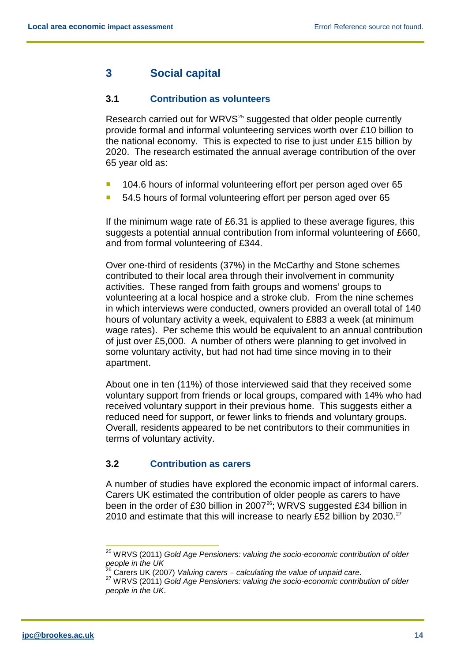# <span id="page-14-0"></span>**3 Social capital**

#### <span id="page-14-1"></span>**3.1 Contribution as volunteers**

Research carried out for WRVS<sup>[25](#page-14-3)</sup> suggested that older people currently provide formal and informal volunteering services worth over £10 billion to the national economy. This is expected to rise to just under £15 billion by 2020. The research estimated the annual average contribution of the over 65 year old as:

- **104.6 hours of informal volunteering effort per person aged over 65**
- 54.5 hours of formal volunteering effort per person aged over 65

If the minimum wage rate of £6.31 is applied to these average figures, this suggests a potential annual contribution from informal volunteering of £660, and from formal volunteering of £344.

Over one-third of residents (37%) in the McCarthy and Stone schemes contributed to their local area through their involvement in community activities. These ranged from faith groups and womens' groups to volunteering at a local hospice and a stroke club. From the nine schemes in which interviews were conducted, owners provided an overall total of 140 hours of voluntary activity a week, equivalent to £883 a week (at minimum wage rates). Per scheme this would be equivalent to an annual contribution of just over £5,000. A number of others were planning to get involved in some voluntary activity, but had not had time since moving in to their apartment.

About one in ten (11%) of those interviewed said that they received some voluntary support from friends or local groups, compared with 14% who had received voluntary support in their previous home. This suggests either a reduced need for support, or fewer links to friends and voluntary groups. Overall, residents appeared to be net contributors to their communities in terms of voluntary activity.

## <span id="page-14-2"></span>**3.2 Contribution as carers**

A number of studies have explored the economic impact of informal carers. Carers UK estimated the contribution of older people as carers to have been in the order of £30 billion in 2007 $^{26}$  $^{26}$  $^{26}$ ; WRVS suggested £34 billion in 2010 and estimate that this will increase to nearly £52 billion by 2030. $^{27}$  $^{27}$  $^{27}$ 

<span id="page-14-4"></span><span id="page-14-3"></span> <sup>25</sup> WRVS (2011) *Gold Age Pensioners: valuing the socio-economic contribution of older people in the UK*<br><sup>26</sup> Carers UK (2007) *Valuing carers – calculating the value of unpaid care.* 

<span id="page-14-5"></span><sup>&</sup>lt;sup>27</sup> WRVS (2011) *Gold Age Pensioners: valuing the socio-economic contribution of older people in the UK*.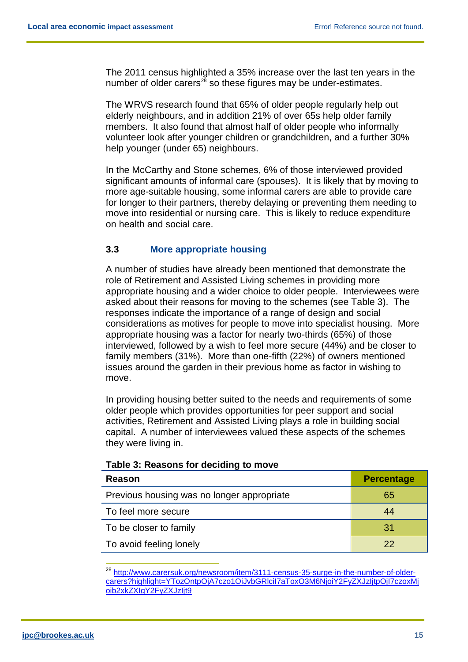The 2011 census highlighted a 35% increase over the last ten years in the number of older carers $^{28}$  $^{28}$  $^{28}$  so these figures may be under-estimates.

The WRVS research found that 65% of older people regularly help out elderly neighbours, and in addition 21% of over 65s help older family members. It also found that almost half of older people who informally volunteer look after younger children or grandchildren, and a further 30% help younger (under 65) neighbours.

In the McCarthy and Stone schemes, 6% of those interviewed provided significant amounts of informal care (spouses). It is likely that by moving to more age-suitable housing, some informal carers are able to provide care for longer to their partners, thereby delaying or preventing them needing to move into residential or nursing care. This is likely to reduce expenditure on health and social care.

## <span id="page-15-0"></span>**3.3 More appropriate housing**

A number of studies have already been mentioned that demonstrate the role of Retirement and Assisted Living schemes in providing more appropriate housing and a wider choice to older people. Interviewees were asked about their reasons for moving to the schemes (see Table 3). The responses indicate the importance of a range of design and social considerations as motives for people to move into specialist housing. More appropriate housing was a factor for nearly two-thirds (65%) of those interviewed, followed by a wish to feel more secure (44%) and be closer to family members (31%). More than one-fifth (22%) of owners mentioned issues around the garden in their previous home as factor in wishing to move.

In providing housing better suited to the needs and requirements of some older people which provides opportunities for peer support and social activities, Retirement and Assisted Living plays a role in building social capital. A number of interviewees valued these aspects of the schemes they were living in.

| Reason                                     | <b>Percentage</b> |
|--------------------------------------------|-------------------|
| Previous housing was no longer appropriate | 65                |
| To feel more secure                        | 44                |
| To be closer to family                     | 31                |
| To avoid feeling lonely                    | 22                |

#### **Table 3: Reasons for deciding to move**

<span id="page-15-1"></span><sup>&</sup>lt;sup>28</sup> [http://www.carersuk.org/newsroom/item/3111-census-35-surge-in-the-number-of-older](http://www.carersuk.org/newsroom/item/3111-census-35-surge-in-the-number-of-older-carers?highlight=YTozOntpOjA7czo1OiJvbGRlciI7aToxO3M6NjoiY2FyZXJzIjtpOjI7czoxMjoib2xkZXIgY2FyZXJzIjt9)[carers?highlight=YTozOntpOjA7czo1OiJvbGRlciI7aToxO3M6NjoiY2FyZXJzIjtpOjI7czoxMj](http://www.carersuk.org/newsroom/item/3111-census-35-surge-in-the-number-of-older-carers?highlight=YTozOntpOjA7czo1OiJvbGRlciI7aToxO3M6NjoiY2FyZXJzIjtpOjI7czoxMjoib2xkZXIgY2FyZXJzIjt9) [oib2xkZXIgY2FyZXJzIjt9](http://www.carersuk.org/newsroom/item/3111-census-35-surge-in-the-number-of-older-carers?highlight=YTozOntpOjA7czo1OiJvbGRlciI7aToxO3M6NjoiY2FyZXJzIjtpOjI7czoxMjoib2xkZXIgY2FyZXJzIjt9)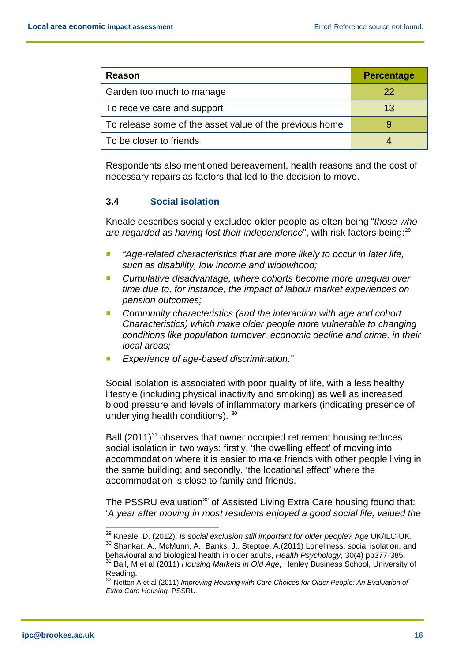| Reason                                                  | <b>Percentage</b> |
|---------------------------------------------------------|-------------------|
| Garden too much to manage                               | 22                |
| To receive care and support                             | 13                |
| To release some of the asset value of the previous home |                   |
| To be closer to friends                                 |                   |

Respondents also mentioned bereavement, health reasons and the cost of necessary repairs as factors that led to the decision to move.

#### <span id="page-16-0"></span>**3.4 Social isolation**

Kneale describes socially excluded older people as often being "*those who*  are regarded as having lost their independence", with risk factors being:<sup>[29](#page-16-1)</sup>

- *"Age-related characteristics that are more likely to occur in later life, such as disability, low income and widowhood;*
- *Cumulative disadvantage, where cohorts become more unequal over time due to, for instance, the impact of labour market experiences on pension outcomes;*
- *Community characteristics (and the interaction with age and cohort Characteristics) which make older people more vulnerable to changing conditions like population turnover, economic decline and crime, in their local areas;*
- *Experience of age-based discrimination."*

Social isolation is associated with poor quality of life, with a less healthy lifestyle (including physical inactivity and smoking) as well as increased blood pressure and levels of inflammatory markers (indicating presence of underlying health conditions). [30](#page-16-2)

Ball  $(2011)^{31}$  $(2011)^{31}$  $(2011)^{31}$  observes that owner occupied retirement housing reduces social isolation in two ways: firstly, 'the dwelling effect' of moving into accommodation where it is easier to make friends with other people living in the same building; and secondly, 'the locational effect' where the accommodation is close to family and friends.

The PSSRU evaluation<sup>[32](#page-16-4)</sup> of Assisted Living Extra Care housing found that: '*A year after moving in most residents enjoyed a good social life, valued the* 

<span id="page-16-2"></span><span id="page-16-1"></span> <sup>29</sup> Kneale, D. (2012), *Is social exclusion still important for older people?* Age UK/ILC-UK. <sup>30</sup> Shankar, A., McMunn, A., Banks, J., Steptoe, A.(2011) Loneliness, social isolation, and

behavioural and biological health in older adults, *Health Psychology*, 30(4) pp377-385.

<span id="page-16-3"></span><sup>&</sup>lt;sup>31</sup> Ball, M et al (2011) *Housing Markets in Old Age*, Henley Business School, University of<br>Reading.

<span id="page-16-4"></span><sup>32</sup> Netten A et al (2011) *Improving Housing with Care Choices for Older People: An Evaluation of Extra Care Housing,* PSSRU.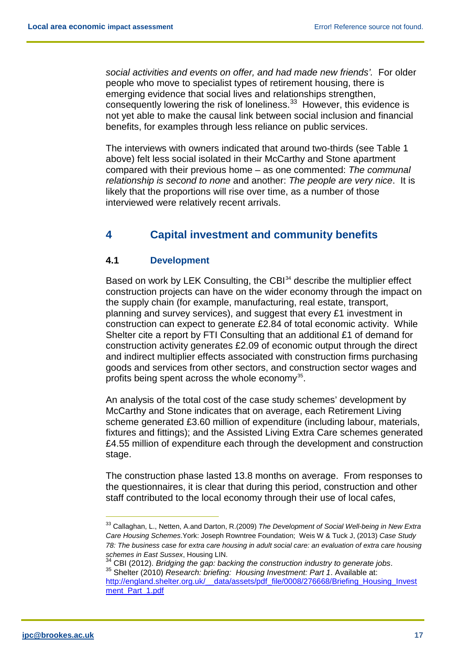*social activities and events on offer, and had made new friends'.* For older people who move to specialist types of retirement housing, there is emerging evidence that social lives and relationships strengthen, consequently lowering the risk of loneliness.<sup>[33](#page-17-2)</sup> However, this evidence is not yet able to make the causal link between social inclusion and financial benefits, for examples through less reliance on public services.

The interviews with owners indicated that around two-thirds (see Table 1 above) felt less social isolated in their McCarthy and Stone apartment compared with their previous home – as one commented: *The communal relationship is second to none* and another: *The people are very nice*. It is likely that the proportions will rise over time, as a number of those interviewed were relatively recent arrivals.

# <span id="page-17-0"></span>**4 Capital investment and community benefits**

## <span id="page-17-1"></span>**4.1 Development**

Based on work by LEK Consulting, the CBI<sup>[34](#page-17-3)</sup> describe the multiplier effect construction projects can have on the wider economy through the impact on the supply chain (for example, manufacturing, real estate, transport, planning and survey services), and suggest that every £1 investment in construction can expect to generate £2.84 of total economic activity. While Shelter cite a report by FTI Consulting that an additional £1 of demand for construction activity generates £2.09 of economic output through the direct and indirect multiplier effects associated with construction firms purchasing goods and services from other sectors, and construction sector wages and profits being spent across the whole economy<sup>35</sup>.

An analysis of the total cost of the case study schemes' development by McCarthy and Stone indicates that on average, each Retirement Living scheme generated £3.60 million of expenditure (including labour, materials, fixtures and fittings); and the Assisted Living Extra Care schemes generated £4.55 million of expenditure each through the development and construction stage.

The construction phase lasted 13.8 months on average. From responses to the questionnaires, it is clear that during this period, construction and other staff contributed to the local economy through their use of local cafes,

<span id="page-17-2"></span> <sup>33</sup> Callaghan, L., Netten, A.and Darton, R.(2009) *The Development of Social Well-being in New Extra Care Housing Schemes*.York: Joseph Rowntree Foundation; Weis W & Tuck J, (2013) *Case Study 78: The business case for extra care housing in adult social care: an evaluation of extra care housing* 

<span id="page-17-4"></span><span id="page-17-3"></span>*schemes in East Sussex*, Housing LIN. <sup>34</sup> CBI (2012). *Bridging the gap: backing the construction industry to generate jobs*. 35 Shelter (2010) *Research: briefing: Housing Investment: Part 1*. Available at: [http://england.shelter.org.uk/\\_\\_data/assets/pdf\\_file/0008/276668/Briefing\\_Housing\\_Invest](http://england.shelter.org.uk/__data/assets/pdf_file/0008/276668/Briefing_Housing_Investment_Part_1.pdf) [ment\\_Part\\_1.pdf](http://england.shelter.org.uk/__data/assets/pdf_file/0008/276668/Briefing_Housing_Investment_Part_1.pdf)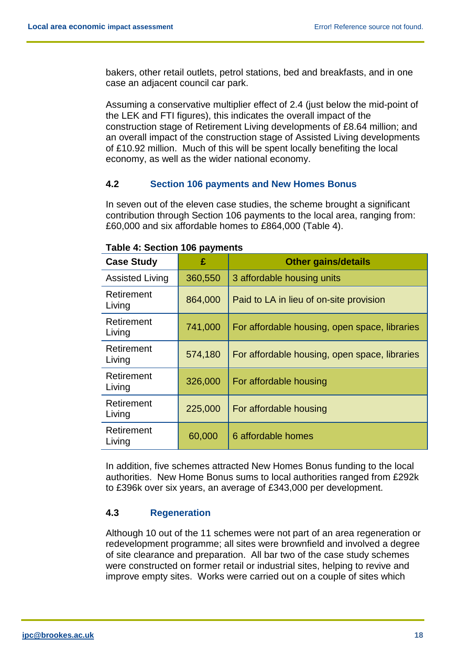bakers, other retail outlets, petrol stations, bed and breakfasts, and in one case an adjacent council car park.

Assuming a conservative multiplier effect of 2.4 (just below the mid-point of the LEK and FTI figures), this indicates the overall impact of the construction stage of Retirement Living developments of £8.64 million; and an overall impact of the construction stage of Assisted Living developments of £10.92 million. Much of this will be spent locally benefiting the local economy, as well as the wider national economy.

#### <span id="page-18-0"></span>**4.2 Section 106 payments and New Homes Bonus**

In seven out of the eleven case studies, the scheme brought a significant contribution through Section 106 payments to the local area, ranging from: £60,000 and six affordable homes to £864,000 (Table 4).

| <b>Case Study</b>      | £       | <b>Other gains/details</b>                    |
|------------------------|---------|-----------------------------------------------|
| <b>Assisted Living</b> | 360,550 | 3 affordable housing units                    |
| Retirement<br>Living   | 864,000 | Paid to LA in lieu of on-site provision       |
| Retirement<br>Living   | 741,000 | For affordable housing, open space, libraries |
| Retirement<br>Living   | 574,180 | For affordable housing, open space, libraries |
| Retirement<br>Living   | 326,000 | For affordable housing                        |
| Retirement<br>Living   | 225,000 | For affordable housing                        |
| Retirement<br>Living   | 60,000  | 6 affordable homes                            |

| <b>Table 4: Section 106 payments</b> |  |  |
|--------------------------------------|--|--|
|                                      |  |  |

In addition, five schemes attracted New Homes Bonus funding to the local authorities. New Home Bonus sums to local authorities ranged from £292k to £396k over six years, an average of £343,000 per development.

#### <span id="page-18-1"></span>**4.3 Regeneration**

Although 10 out of the 11 schemes were not part of an area regeneration or redevelopment programme; all sites were brownfield and involved a degree of site clearance and preparation. All bar two of the case study schemes were constructed on former retail or industrial sites, helping to revive and improve empty sites. Works were carried out on a couple of sites which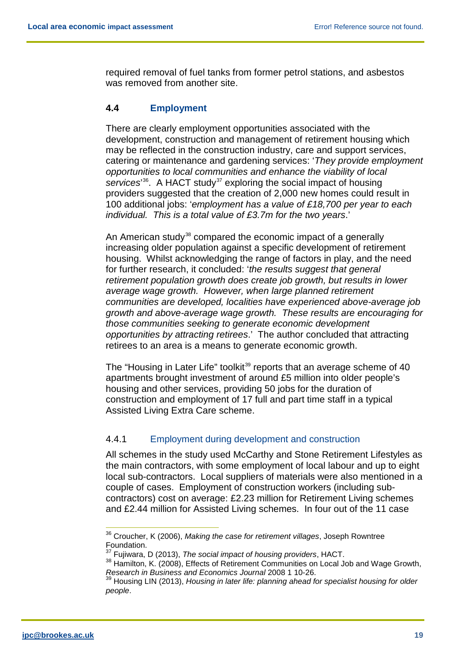required removal of fuel tanks from former petrol stations, and asbestos was removed from another site.

## <span id="page-19-0"></span>**4.4 Employment**

There are clearly employment opportunities associated with the development, construction and management of retirement housing which may be reflected in the construction industry, care and support services, catering or maintenance and gardening services: '*They provide employment opportunities to local communities and enhance the viability of local*  services<sup>[36](#page-19-2)</sup>. A HACT study<sup>[37](#page-19-3)</sup> exploring the social impact of housing providers suggested that the creation of 2,000 new homes could result in 100 additional jobs: '*employment has a value of £18,700 per year to each individual. This is a total value of £3.7m for the two years*.'

An American study<sup>[38](#page-19-4)</sup> compared the economic impact of a generally increasing older population against a specific development of retirement housing. Whilst acknowledging the range of factors in play, and the need for further research, it concluded: '*the results suggest that general retirement population growth does create job growth, but results in lower average wage growth. However, when large planned retirement communities are developed, localities have experienced above-average job growth and above-average wage growth. These results are encouraging for those communities seeking to generate economic development opportunities by attracting retirees*.' The author concluded that attracting retirees to an area is a means to generate economic growth.

The "Housing in Later Life" toolkit<sup>[39](#page-19-5)</sup> reports that an average scheme of 40 apartments brought investment of around £5 million into older people's housing and other services, providing 50 jobs for the duration of construction and employment of 17 full and part time staff in a typical Assisted Living Extra Care scheme.

#### <span id="page-19-1"></span>4.4.1 Employment during development and construction

All schemes in the study used McCarthy and Stone Retirement Lifestyles as the main contractors, with some employment of local labour and up to eight local sub-contractors. Local suppliers of materials were also mentioned in a couple of cases. Employment of construction workers (including subcontractors) cost on average: £2.23 million for Retirement Living schemes and £2.44 million for Assisted Living schemes. In four out of the 11 case

<span id="page-19-2"></span> <sup>36</sup> Croucher, K (2006), *Making the case for retirement villages*, Joseph Rowntree Foundation.

<sup>37</sup> Fujiwara, D (2013), *The social impact of housing providers*, HACT.

<span id="page-19-4"></span><span id="page-19-3"></span><sup>&</sup>lt;sup>38</sup> Hamilton, K. (2008), Effects of Retirement Communities on Local Job and Wage Growth, *Research in Business and Economics Journal* 2008 1 10-26.

<span id="page-19-5"></span><sup>39</sup> Housing LIN (2013), *Housing in later life: planning ahead for specialist housing for older people*.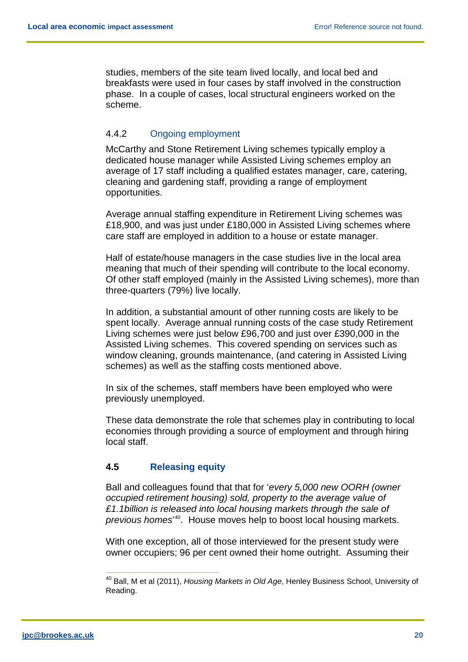studies, members of the site team lived locally, and local bed and breakfasts were used in four cases by staff involved in the construction phase. In a couple of cases, local structural engineers worked on the scheme.

## <span id="page-20-0"></span>4.4.2 Ongoing employment

McCarthy and Stone Retirement Living schemes typically employ a dedicated house manager while Assisted Living schemes employ an average of 17 staff including a qualified estates manager, care, catering, cleaning and gardening staff, providing a range of employment opportunities.

Average annual staffing expenditure in Retirement Living schemes was £18,900, and was just under £180,000 in Assisted Living schemes where care staff are employed in addition to a house or estate manager.

Half of estate/house managers in the case studies live in the local area meaning that much of their spending will contribute to the local economy. Of other staff employed (mainly in the Assisted Living schemes), more than three-quarters (79%) live locally.

In addition, a substantial amount of other running costs are likely to be spent locally. Average annual running costs of the case study Retirement Living schemes were just below £96,700 and just over £390,000 in the Assisted Living schemes. This covered spending on services such as window cleaning, grounds maintenance, (and catering in Assisted Living schemes) as well as the staffing costs mentioned above.

In six of the schemes, staff members have been employed who were previously unemployed.

These data demonstrate the role that schemes play in contributing to local economies through providing a source of employment and through hiring local staff.

#### <span id="page-20-1"></span>**4.5 Releasing equity**

Ball and colleagues found that that for '*every 5,000 new OORH (owner occupied retirement housing) sold, property to the average value of £1.1billion is released into local housing markets through the sale of previous homes*' [40.](#page-20-2) House moves help to boost local housing markets.

With one exception, all of those interviewed for the present study were owner occupiers; 96 per cent owned their home outright. Assuming their

<span id="page-20-2"></span> <sup>40</sup> Ball, M et al (2011), *Housing Markets in Old Age*, Henley Business School, University of Reading.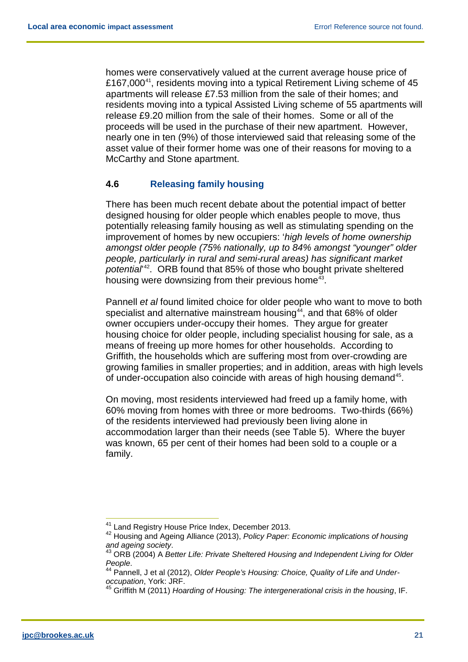homes were conservatively valued at the current average house price of £167,000 $^{41}$  $^{41}$  $^{41}$ , residents moving into a typical Retirement Living scheme of 45 apartments will release £7.53 million from the sale of their homes; and residents moving into a typical Assisted Living scheme of 55 apartments will release £9.20 million from the sale of their homes. Some or all of the proceeds will be used in the purchase of their new apartment. However, nearly one in ten (9%) of those interviewed said that releasing some of the asset value of their former home was one of their reasons for moving to a McCarthy and Stone apartment.

## <span id="page-21-0"></span>**4.6 Releasing family housing**

There has been much recent debate about the potential impact of better designed housing for older people which enables people to move, thus potentially releasing family housing as well as stimulating spending on the improvement of homes by new occupiers: '*high levels of home ownership amongst older people (75% nationally, up to 84% amongst "younger" older people, particularly in rural and semi-rural areas) has significant market potential*' [42](#page-21-2). ORB found that 85% of those who bought private sheltered housing were downsizing from their previous home<sup>[43](#page-21-3)</sup>.

Pannell *et al* found limited choice for older people who want to move to both specialist and alternative mainstream housing $44$ , and that 68% of older owner occupiers under-occupy their homes. They argue for greater housing choice for older people, including specialist housing for sale, as a means of freeing up more homes for other households. According to Griffith, the households which are suffering most from over-crowding are growing families in smaller properties; and in addition, areas with high levels of under-occupation also coincide with areas of high housing demand<sup>45</sup>.

On moving, most residents interviewed had freed up a family home, with 60% moving from homes with three or more bedrooms. Two-thirds (66%) of the residents interviewed had previously been living alone in accommodation larger than their needs (see Table 5). Where the buyer was known, 65 per cent of their homes had been sold to a couple or a family.

<span id="page-21-2"></span><span id="page-21-1"></span>

<sup>&</sup>lt;sup>41</sup> Land Registry House Price Index, December 2013.<br><sup>42</sup> Housing and Ageing Alliance (2013), *Policy Paper: Economic implications of housing* 

<span id="page-21-3"></span>and ageing society.<br><sup>43</sup> ORB (2004) A *Better Life: Private Sheltered Housing and Independent Living for Older People.* 

<span id="page-21-4"></span>*People*. 44 Pannell, J et al (2012), *Older People's Housing: Choice, Quality of Life and Underoccupation*, York: JRF.

<span id="page-21-5"></span><sup>45</sup> Griffith M (2011) *Hoarding of Housing: The intergenerational crisis in the housing*, IF.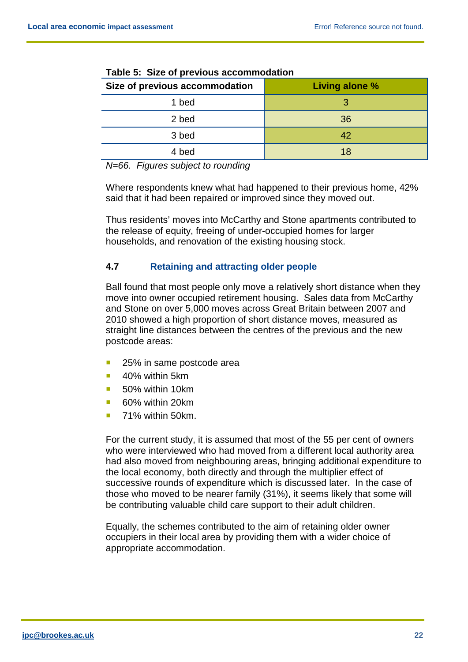| Size of previous accommodation | Living alone % |
|--------------------------------|----------------|
| 1 bed                          |                |
| 2 bed                          | 36             |
| 3 bed                          | 42             |
| 4 bed                          | 18             |

|--|

*N=66. Figures subject to rounding*

Where respondents knew what had happened to their previous home, 42% said that it had been repaired or improved since they moved out.

Thus residents' moves into McCarthy and Stone apartments contributed to the release of equity, freeing of under-occupied homes for larger households, and renovation of the existing housing stock.

## <span id="page-22-0"></span>**4.7 Retaining and attracting older people**

Ball found that most people only move a relatively short distance when they move into owner occupied retirement housing. Sales data from McCarthy and Stone on over 5,000 moves across Great Britain between 2007 and 2010 showed a high proportion of short distance moves, measured as straight line distances between the centres of the previous and the new postcode areas:

- 25% in same postcode area
- 40% within 5km
- 50% within 10km
- 60% within 20km
- 71% within 50km.

For the current study, it is assumed that most of the 55 per cent of owners who were interviewed who had moved from a different local authority area had also moved from neighbouring areas, bringing additional expenditure to the local economy, both directly and through the multiplier effect of successive rounds of expenditure which is discussed later. In the case of those who moved to be nearer family (31%), it seems likely that some will be contributing valuable child care support to their adult children.

Equally, the schemes contributed to the aim of retaining older owner occupiers in their local area by providing them with a wider choice of appropriate accommodation.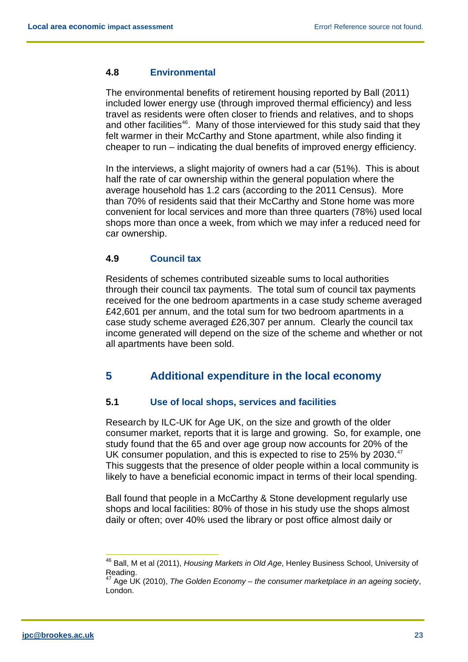#### <span id="page-23-0"></span>**4.8 Environmental**

The environmental benefits of retirement housing reported by Ball (2011) included lower energy use (through improved thermal efficiency) and less travel as residents were often closer to friends and relatives, and to shops and other facilities<sup>[46](#page-23-4)</sup>. Many of those interviewed for this study said that they felt warmer in their McCarthy and Stone apartment, while also finding it cheaper to run – indicating the dual benefits of improved energy efficiency.

In the interviews, a slight majority of owners had a car (51%). This is about half the rate of car ownership within the general population where the average household has 1.2 cars (according to the 2011 Census). More than 70% of residents said that their McCarthy and Stone home was more convenient for local services and more than three quarters (78%) used local shops more than once a week, from which we may infer a reduced need for car ownership.

#### <span id="page-23-1"></span>**4.9 Council tax**

Residents of schemes contributed sizeable sums to local authorities through their council tax payments. The total sum of council tax payments received for the one bedroom apartments in a case study scheme averaged £42,601 per annum, and the total sum for two bedroom apartments in a case study scheme averaged £26,307 per annum. Clearly the council tax income generated will depend on the size of the scheme and whether or not all apartments have been sold.

# <span id="page-23-2"></span>**5 Additional expenditure in the local economy**

## <span id="page-23-3"></span>**5.1 Use of local shops, services and facilities**

Research by ILC-UK for Age UK, on the size and growth of the older consumer market, reports that it is large and growing. So, for example, one study found that the 65 and over age group now accounts for 20% of the UK consumer population, and this is expected to rise to 25% by 2030.<sup>47</sup> This suggests that the presence of older people within a local community is likely to have a beneficial economic impact in terms of their local spending.

Ball found that people in a McCarthy & Stone development regularly use shops and local facilities: 80% of those in his study use the shops almost daily or often; over 40% used the library or post office almost daily or

<span id="page-23-4"></span> <sup>46</sup> Ball, M et al (2011), *Housing Markets in Old Age*, Henley Business School, University of Reading.

<span id="page-23-5"></span><sup>47</sup> Age UK (2010), *The Golden Economy – the consumer marketplace in an ageing society*, London.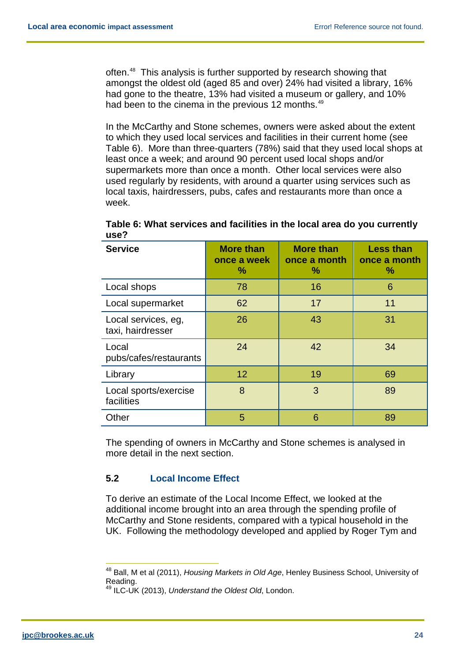often.<sup>[48](#page-24-1)</sup> This analysis is further supported by research showing that amongst the oldest old (aged 85 and over) 24% had visited a library, 16% had gone to the theatre, 13% had visited a museum or gallery, and 10% had been to the cinema in the previous 12 months.<sup>[49](#page-24-2)</sup>

In the McCarthy and Stone schemes, owners were asked about the extent to which they used local services and facilities in their current home (see Table 6). More than three-quarters (78%) said that they used local shops at least once a week; and around 90 percent used local shops and/or supermarkets more than once a month. Other local services were also used regularly by residents, with around a quarter using services such as local taxis, hairdressers, pubs, cafes and restaurants more than once a week.

| <b>Service</b>                           | <b>More than</b><br>once a week<br>% | <b>More than</b><br>once a month<br>$\%$ | <b>Less than</b><br>once a month<br>$\%$ |
|------------------------------------------|--------------------------------------|------------------------------------------|------------------------------------------|
| Local shops                              | 78                                   | 16                                       | 6                                        |
| Local supermarket                        | 62                                   | 17                                       | 11                                       |
| Local services, eg,<br>taxi, hairdresser | 26                                   | 43                                       | 31                                       |
| Local<br>pubs/cafes/restaurants          | 24                                   | 42                                       | 34                                       |
| Library                                  | 12                                   | 19                                       | 69                                       |
| Local sports/exercise<br>facilities      | 8                                    | 3                                        | 89                                       |
| Other                                    | 5                                    | 6                                        | 89                                       |

**Table 6: What services and facilities in the local area do you currently use?**

The spending of owners in McCarthy and Stone schemes is analysed in more detail in the next section.

# <span id="page-24-0"></span>**5.2 Local Income Effect**

To derive an estimate of the Local Income Effect, we looked at the additional income brought into an area through the spending profile of McCarthy and Stone residents, compared with a typical household in the UK. Following the methodology developed and applied by Roger Tym and

<span id="page-24-2"></span><sup>49</sup> ILC-UK (2013), *Understand the Oldest Old*, London.

<span id="page-24-1"></span> <sup>48</sup> Ball, M et al (2011), *Housing Markets in Old Age*, Henley Business School, University of Reading.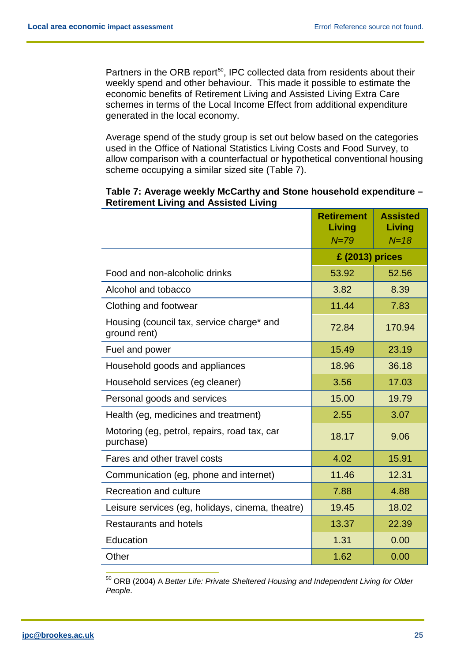Partners in the ORB report<sup>50</sup>, IPC collected data from residents about their weekly spend and other behaviour. This made it possible to estimate the economic benefits of Retirement Living and Assisted Living Extra Care schemes in terms of the Local Income Effect from additional expenditure generated in the local economy.

Average spend of the study group is set out below based on the categories used in the Office of National Statistics Living Costs and Food Survey, to allow comparison with a counterfactual or hypothetical conventional housing scheme occupying a similar sized site (Table 7).

#### **Table 7: Average weekly McCarthy and Stone household expenditure – Retirement Living and Assisted Living**

|                                                           | <b>Retirement</b><br>Living | <b>Assisted</b><br>Living |
|-----------------------------------------------------------|-----------------------------|---------------------------|
|                                                           | $N = 79$                    | $N = 18$                  |
|                                                           | £ (2013) prices             |                           |
| Food and non-alcoholic drinks                             | 53.92                       | 52.56                     |
| Alcohol and tobacco                                       | 3.82                        | 8.39                      |
| Clothing and footwear                                     | 11.44                       | 7.83                      |
| Housing (council tax, service charge* and<br>ground rent) | 72.84                       | 170.94                    |
| Fuel and power                                            | 15.49                       | 23.19                     |
| Household goods and appliances                            | 18.96                       | 36.18                     |
| Household services (eg cleaner)                           | 3.56                        | 17.03                     |
| Personal goods and services                               | 15.00                       | 19.79                     |
| Health (eg, medicines and treatment)                      | 2.55                        | 3.07                      |
| Motoring (eg, petrol, repairs, road tax, car<br>purchase) | 18.17                       | 9.06                      |
| Fares and other travel costs                              | 4.02                        | 15.91                     |
| Communication (eg, phone and internet)                    | 11.46                       | 12.31                     |
| <b>Recreation and culture</b>                             | 7.88                        | 4.88                      |
| Leisure services (eg, holidays, cinema, theatre)          | 19.45                       | 18.02                     |
| <b>Restaurants and hotels</b>                             | 13.37                       | 22.39                     |
| Education                                                 | 1.31                        | 0.00                      |
| Other                                                     | 1.62                        | 0.00                      |

<span id="page-25-0"></span> 50 ORB (2004) <sup>A</sup>*Better Life: Private Sheltered Housing and Independent Living for Older People*.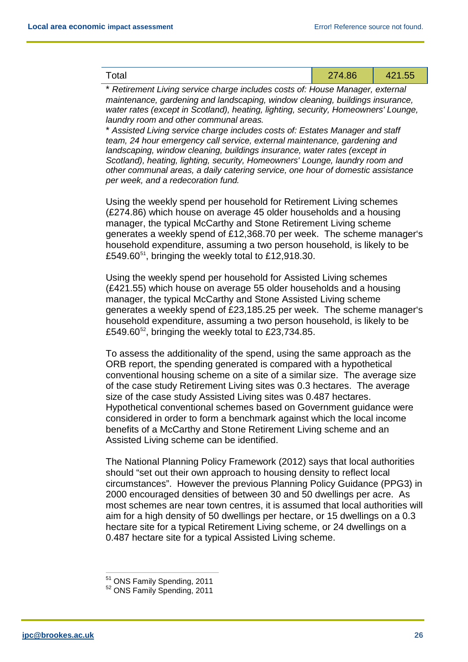| 274.86<br><sup>-</sup> otal<br>74 I .UU |
|-----------------------------------------|
|-----------------------------------------|

\* *Retirement Living service charge includes costs of: House Manager, external maintenance, gardening and landscaping, window cleaning, buildings insurance, water rates (except in Scotland), heating, lighting, security, Homeowners' Lounge, laundry room and other communal areas.*

\* *Assisted Living service charge includes costs of: Estates Manager and staff team, 24 hour emergency call service, external maintenance, gardening and landscaping, window cleaning, buildings insurance, water rates (except in Scotland), heating, lighting, security, Homeowners' Lounge, laundry room and other communal areas, a daily catering service, one hour of domestic assistance per week, and a redecoration fund.*

Using the weekly spend per household for Retirement Living schemes (£274.86) which house on average 45 older households and a housing manager, the typical McCarthy and Stone Retirement Living scheme generates a weekly spend of £12,368.70 per week. The scheme manager's household expenditure, assuming a two person household, is likely to be £549.60 $51$ , bringing the weekly total to £12,918.30.

Using the weekly spend per household for Assisted Living schemes (£421.55) which house on average 55 older households and a housing manager, the typical McCarthy and Stone Assisted Living scheme generates a weekly spend of £23,185.25 per week. The scheme manager's household expenditure, assuming a two person household, is likely to be £549.60 $52$ , bringing the weekly total to £23,734.85.

To assess the additionality of the spend, using the same approach as the ORB report, the spending generated is compared with a hypothetical conventional housing scheme on a site of a similar size. The average size of the case study Retirement Living sites was 0.3 hectares. The average size of the case study Assisted Living sites was 0.487 hectares. Hypothetical conventional schemes based on Government guidance were considered in order to form a benchmark against which the local income benefits of a McCarthy and Stone Retirement Living scheme and an Assisted Living scheme can be identified.

The National Planning Policy Framework (2012) says that local authorities should "set out their own approach to housing density to reflect local circumstances". However the previous Planning Policy Guidance (PPG3) in 2000 encouraged densities of between 30 and 50 dwellings per acre. As most schemes are near town centres, it is assumed that local authorities will aim for a high density of 50 dwellings per hectare, or 15 dwellings on a 0.3 hectare site for a typical Retirement Living scheme, or 24 dwellings on a 0.487 hectare site for a typical Assisted Living scheme.

<span id="page-26-1"></span><span id="page-26-0"></span><sup>&</sup>lt;sup>51</sup> ONS Family Spending, 2011<br><sup>52</sup> ONS Family Spending, 2011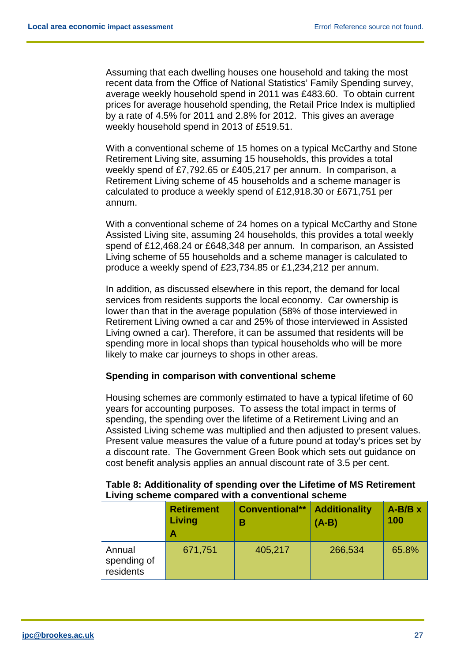Assuming that each dwelling houses one household and taking the most recent data from the Office of National Statistics' Family Spending survey, average weekly household spend in 2011 was £483.60. To obtain current prices for average household spending, the Retail Price Index is multiplied by a rate of 4.5% for 2011 and 2.8% for 2012. This gives an average weekly household spend in 2013 of £519.51.

With a conventional scheme of 15 homes on a typical McCarthy and Stone Retirement Living site, assuming 15 households, this provides a total weekly spend of £7,792.65 or £405,217 per annum. In comparison, a Retirement Living scheme of 45 households and a scheme manager is calculated to produce a weekly spend of £12,918.30 or £671,751 per annum.

With a conventional scheme of 24 homes on a typical McCarthy and Stone Assisted Living site, assuming 24 households, this provides a total weekly spend of £12,468.24 or £648,348 per annum. In comparison, an Assisted Living scheme of 55 households and a scheme manager is calculated to produce a weekly spend of £23,734.85 or £1,234,212 per annum.

In addition, as discussed elsewhere in this report, the demand for local services from residents supports the local economy. Car ownership is lower than that in the average population (58% of those interviewed in Retirement Living owned a car and 25% of those interviewed in Assisted Living owned a car). Therefore, it can be assumed that residents will be spending more in local shops than typical households who will be more likely to make car journeys to shops in other areas.

#### **Spending in comparison with conventional scheme**

Housing schemes are commonly estimated to have a typical lifetime of 60 years for accounting purposes. To assess the total impact in terms of spending, the spending over the lifetime of a Retirement Living and an Assisted Living scheme was multiplied and then adjusted to present values. Present value measures the value of a future pound at today's prices set by a discount rate. The Government Green Book which sets out guidance on cost benefit analysis applies an annual discount rate of 3.5 per cent.

| Table 8: Additionality of spending over the Lifetime of MS Retirement |
|-----------------------------------------------------------------------|
| Living scheme compared with a conventional scheme                     |

|                                    | <b>Retirement</b><br>Living<br>Α | <b>Conventional**</b><br>в | <b>Additionality</b><br>$(A-B)$ | $A-B/B \times$<br>100 |
|------------------------------------|----------------------------------|----------------------------|---------------------------------|-----------------------|
| Annual<br>spending of<br>residents | 671,751                          | 405,217                    | 266,534                         | 65.8%                 |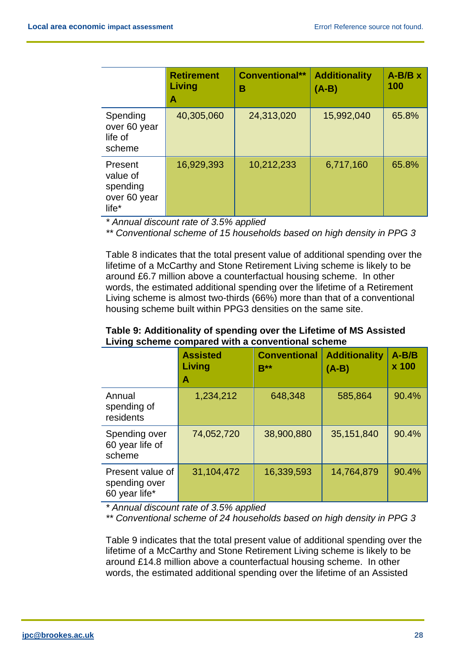|                                                                      | <b>Retirement</b><br>Living<br>Α | <b>Conventional**</b><br>в | <b>Additionality</b><br>$(A-B)$ | $A-B/B \times$<br>100 |
|----------------------------------------------------------------------|----------------------------------|----------------------------|---------------------------------|-----------------------|
| Spending<br>over 60 year<br>life of<br>scheme                        | 40,305,060                       | 24,313,020                 | 15,992,040                      | 65.8%                 |
| Present<br>value of<br>spending<br>over 60 year<br>life <sup>*</sup> | 16,929,393                       | 10,212,233                 | 6,717,160                       | 65.8%                 |

*\* Annual discount rate of 3.5% applied*

*\*\* Conventional scheme of 15 households based on high density in PPG 3*

Table 8 indicates that the total present value of additional spending over the lifetime of a McCarthy and Stone Retirement Living scheme is likely to be around £6.7 million above a counterfactual housing scheme. In other words, the estimated additional spending over the lifetime of a Retirement Living scheme is almost two-thirds (66%) more than that of a conventional housing scheme built within PPG3 densities on the same site.

| Table 9: Additionality of spending over the Lifetime of MS Assisted |
|---------------------------------------------------------------------|
| Living scheme compared with a conventional scheme                   |

|                                                    | <b>Assisted</b><br>Living<br>A | <b>Conventional</b><br>$B***$ | <b>Additionality</b><br>$(A-B)$ | $A-B/B$<br>x 100 |
|----------------------------------------------------|--------------------------------|-------------------------------|---------------------------------|------------------|
| Annual<br>spending of<br>residents                 | 1,234,212                      | 648,348                       | 585,864                         | 90.4%            |
| Spending over<br>60 year life of<br>scheme         | 74,052,720                     | 38,900,880                    | 35,151,840                      | 90.4%            |
| Present value of<br>spending over<br>60 year life* | 31,104,472                     | 16,339,593                    | 14,764,879                      | 90.4%            |

*\* Annual discount rate of 3.5% applied*

*\*\* Conventional scheme of 24 households based on high density in PPG 3*

Table 9 indicates that the total present value of additional spending over the lifetime of a McCarthy and Stone Retirement Living scheme is likely to be around £14.8 million above a counterfactual housing scheme. In other words, the estimated additional spending over the lifetime of an Assisted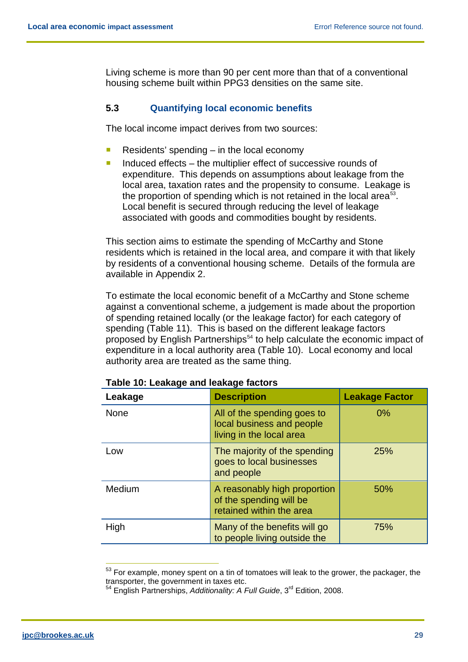Living scheme is more than 90 per cent more than that of a conventional housing scheme built within PPG3 densities on the same site.

## <span id="page-29-0"></span>**5.3 Quantifying local economic benefits**

The local income impact derives from two sources:

- Residents' spending  $-$  in the local economy
- Induced effects the multiplier effect of successive rounds of expenditure. This depends on assumptions about leakage from the local area, taxation rates and the propensity to consume. Leakage is the proportion of spending which is not retained in the local area<sup>53</sup>. Local benefit is secured through reducing the level of leakage associated with goods and commodities bought by residents.

This section aims to estimate the spending of McCarthy and Stone residents which is retained in the local area, and compare it with that likely by residents of a conventional housing scheme. Details of the formula are available in Appendix 2.

To estimate the local economic benefit of a McCarthy and Stone scheme against a conventional scheme, a judgement is made about the proportion of spending retained locally (or the leakage factor) for each category of spending (Table 11). This is based on the different leakage factors proposed by English Partnerships<sup>[54](#page-29-2)</sup> to help calculate the economic impact of expenditure in a local authority area (Table 10). Local economy and local authority area are treated as the same thing.

| Leakage     | <b>Description</b>                                                                   | <b>Leakage Factor</b> |
|-------------|--------------------------------------------------------------------------------------|-----------------------|
| <b>None</b> | All of the spending goes to<br>local business and people<br>living in the local area | $0\%$                 |
| Low         | The majority of the spending<br>goes to local businesses<br>and people               | 25%                   |
| Medium      | A reasonably high proportion<br>of the spending will be<br>retained within the area  | 50%                   |
| High        | Many of the benefits will go<br>to people living outside the                         | 75%                   |

**Table 10: Leakage and leakage factors**

<span id="page-29-1"></span> $53$  For example, money spent on a tin of tomatoes will leak to the grower, the packager, the transporter, the government in taxes etc.

<span id="page-29-2"></span><sup>54</sup> English Partnerships, *Additionality: A Full Guide*, 3rd Edition, 2008.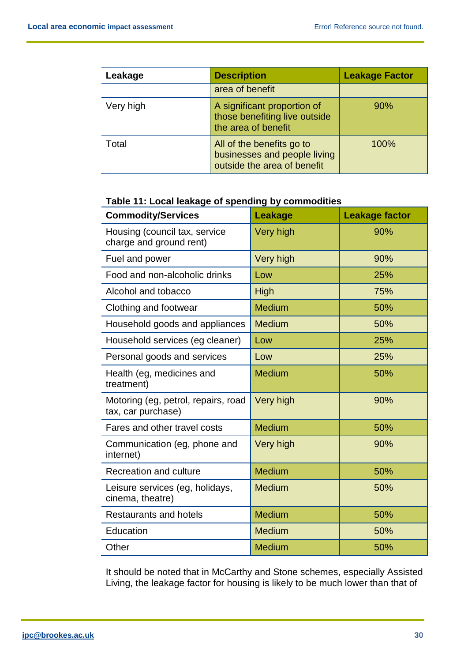| Leakage   | <b>Description</b>                                                                       | <b>Leakage Factor</b> |
|-----------|------------------------------------------------------------------------------------------|-----------------------|
|           | area of benefit                                                                          |                       |
| Very high | A significant proportion of<br>those benefiting live outside<br>the area of benefit      | 90%                   |
| Total     | All of the benefits go to<br>businesses and people living<br>outside the area of benefit | 100%                  |

# **Table 11: Local leakage of spending by commodities**

| <b>Commodity/Services</b>                                 | <b>Leakage</b> | <b>Leakage factor</b> |
|-----------------------------------------------------------|----------------|-----------------------|
| Housing (council tax, service<br>charge and ground rent)  | Very high      | 90%                   |
| Fuel and power                                            | Very high      | 90%                   |
| Food and non-alcoholic drinks                             | Low            | 25%                   |
| Alcohol and tobacco                                       | <b>High</b>    | 75%                   |
| Clothing and footwear                                     | <b>Medium</b>  | 50%                   |
| Household goods and appliances                            | <b>Medium</b>  | 50%                   |
| Household services (eg cleaner)                           | Low            | 25%                   |
| Personal goods and services                               | Low            | 25%                   |
| Health (eg, medicines and<br>treatment)                   | <b>Medium</b>  | 50%                   |
| Motoring (eg, petrol, repairs, road<br>tax, car purchase) | Very high      | 90%                   |
| Fares and other travel costs                              | <b>Medium</b>  | 50%                   |
| Communication (eg, phone and<br>internet)                 | Very high      | 90%                   |
| <b>Recreation and culture</b>                             | <b>Medium</b>  | 50%                   |
| Leisure services (eg, holidays,<br>cinema, theatre)       | <b>Medium</b>  | 50%                   |
| <b>Restaurants and hotels</b>                             | <b>Medium</b>  | 50%                   |
| Education                                                 | <b>Medium</b>  | 50%                   |
| Other                                                     | <b>Medium</b>  | 50%                   |

It should be noted that in McCarthy and Stone schemes, especially Assisted Living, the leakage factor for housing is likely to be much lower than that of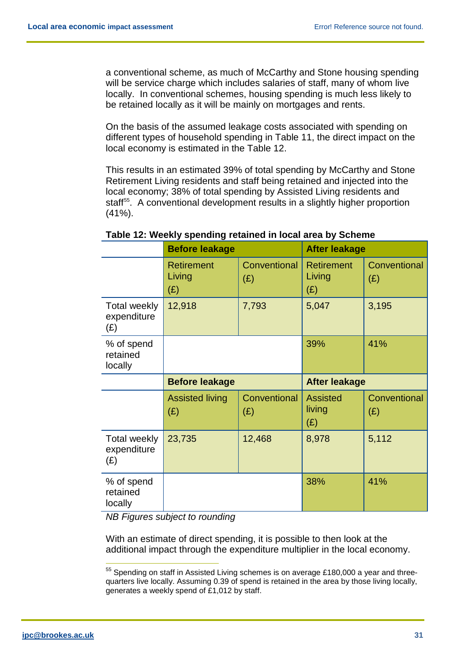a conventional scheme, as much of McCarthy and Stone housing spending will be service charge which includes salaries of staff, many of whom live locally. In conventional schemes, housing spending is much less likely to be retained locally as it will be mainly on mortgages and rents.

On the basis of the assumed leakage costs associated with spending on different types of household spending in Table 11, the direct impact on the local economy is estimated in the Table 12.

This results in an estimated 39% of total spending by McCarthy and Stone Retirement Living residents and staff being retained and injected into the local economy; 38% of total spending by Assisted Living residents and staff<sup>[55](#page-31-0)</sup>. A conventional development results in a slightly higher proportion (41%).

|                                           | <b>Before leakage</b>              |                     | <b>After leakage</b>               |                     |
|-------------------------------------------|------------------------------------|---------------------|------------------------------------|---------------------|
|                                           | <b>Retirement</b><br>Living<br>(E) | Conventional<br>(E) | <b>Retirement</b><br>Living<br>(E) | Conventional<br>(E) |
| <b>Total weekly</b><br>expenditure<br>(E) | 12,918                             | 7,793               | 5,047                              | 3,195               |
| % of spend<br>retained<br>locally         |                                    |                     | 39%                                | 41%                 |
|                                           | <b>Before leakage</b>              |                     | <b>After leakage</b>               |                     |
|                                           | <b>Assisted living</b><br>(E)      | Conventional<br>(E) | <b>Assisted</b><br>living<br>(E)   | Conventional<br>(E) |
| <b>Total weekly</b><br>expenditure<br>(E) | 23,735                             | 12,468              | 8,978                              | 5,112               |
| % of spend<br>retained                    |                                    |                     | 38%                                | 41%                 |

## **Table 12: Weekly spending retained in local area by Scheme**

*NB Figures subject to rounding*

With an estimate of direct spending, it is possible to then look at the additional impact through the expenditure multiplier in the local economy.

<span id="page-31-0"></span> $55$  Spending on staff in Assisted Living schemes is on average £180,000 a year and threequarters live locally. Assuming 0.39 of spend is retained in the area by those living locally, generates a weekly spend of £1,012 by staff.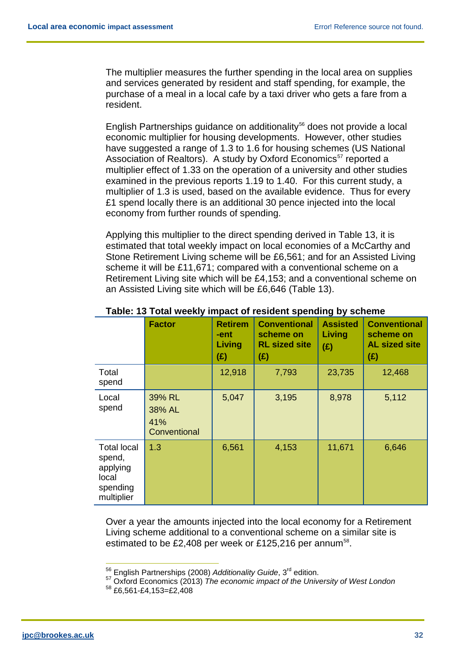The multiplier measures the further spending in the local area on supplies and services generated by resident and staff spending, for example, the purchase of a meal in a local cafe by a taxi driver who gets a fare from a resident.

English Partnerships guidance on additionality<sup>[56](#page-32-0)</sup> does not provide a local economic multiplier for housing developments. However, other studies have suggested a range of 1.3 to 1.6 for housing schemes (US National Association of Realtors). A study by Oxford Economics<sup>[57](#page-32-1)</sup> reported a multiplier effect of 1.33 on the operation of a university and other studies examined in the previous reports 1.19 to 1.40. For this current study, a multiplier of 1.3 is used, based on the available evidence. Thus for every £1 spend locally there is an additional 30 pence injected into the local economy from further rounds of spending.

Applying this multiplier to the direct spending derived in Table 13, it is estimated that total weekly impact on local economies of a McCarthy and Stone Retirement Living scheme will be £6,561; and for an Assisted Living scheme it will be £11,671; compared with a conventional scheme on a Retirement Living site which will be £4,153; and a conventional scheme on an Assisted Living site which will be £6,646 (Table 13).

|                                                                             | <b>Factor</b>                           | <b>Retirem</b><br>-ent<br>Living<br>(E) | <b>Conventional</b><br>scheme on<br><b>RL sized site</b><br>$(\hat{z})$ | <b>Assisted</b><br>Living<br>(E) | <b>Conventional</b><br>scheme on<br><b>AL sized site</b><br>(E) |
|-----------------------------------------------------------------------------|-----------------------------------------|-----------------------------------------|-------------------------------------------------------------------------|----------------------------------|-----------------------------------------------------------------|
| Total<br>spend                                                              |                                         | 12,918                                  | 7,793                                                                   | 23,735                           | 12,468                                                          |
| Local<br>spend                                                              | 39% RL<br>38% AL<br>41%<br>Conventional | 5,047                                   | 3,195                                                                   | 8,978                            | 5,112                                                           |
| <b>Total local</b><br>spend,<br>applying<br>local<br>spending<br>multiplier | 1.3                                     | 6,561                                   | 4,153                                                                   | 11,671                           | 6,646                                                           |

#### **Table: 13 Total weekly impact of resident spending by scheme**

Over a year the amounts injected into the local economy for a Retirement Living scheme additional to a conventional scheme on a similar site is estimated to be £2,408 per week or £125,216 per annum<sup>[58](#page-32-2)</sup>.

 <sup>56</sup> English Partnerships (2008) *Additionality Guide*, 3rd edition.

<span id="page-32-2"></span><span id="page-32-1"></span><span id="page-32-0"></span><sup>&</sup>lt;sup>57</sup> Oxford Economics (2013) *The economic impact of the University of West London*<br><sup>58</sup> £6,561-£4,153=£2,408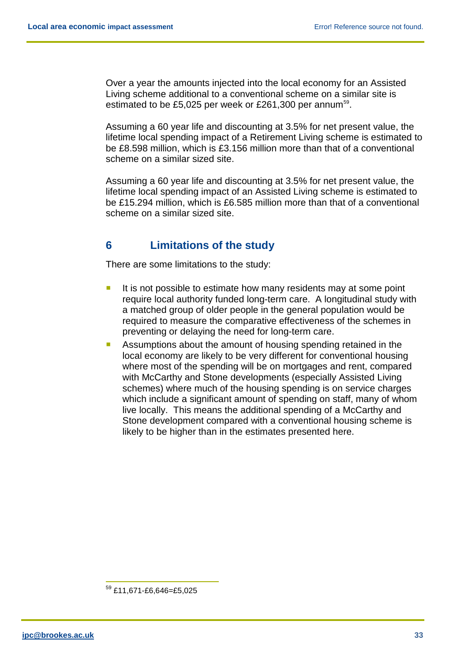Over a year the amounts injected into the local economy for an Assisted Living scheme additional to a conventional scheme on a similar site is estimated to be £5,025 per week or £261,300 per annum<sup>[59](#page-33-1)</sup>.

Assuming a 60 year life and discounting at 3.5% for net present value, the lifetime local spending impact of a Retirement Living scheme is estimated to be £8.598 million, which is £3.156 million more than that of a conventional scheme on a similar sized site.

Assuming a 60 year life and discounting at 3.5% for net present value, the lifetime local spending impact of an Assisted Living scheme is estimated to be £15.294 million, which is £6.585 million more than that of a conventional scheme on a similar sized site.

# <span id="page-33-0"></span>**6 Limitations of the study**

There are some limitations to the study:

- If is not possible to estimate how many residents may at some point require local authority funded long-term care. A longitudinal study with a matched group of older people in the general population would be required to measure the comparative effectiveness of the schemes in preventing or delaying the need for long-term care.
- **Assumptions about the amount of housing spending retained in the** local economy are likely to be very different for conventional housing where most of the spending will be on mortgages and rent, compared with McCarthy and Stone developments (especially Assisted Living schemes) where much of the housing spending is on service charges which include a significant amount of spending on staff, many of whom live locally. This means the additional spending of a McCarthy and Stone development compared with a conventional housing scheme is likely to be higher than in the estimates presented here.

<span id="page-33-1"></span> <sup>59</sup> £11,671-£6,646=£5,025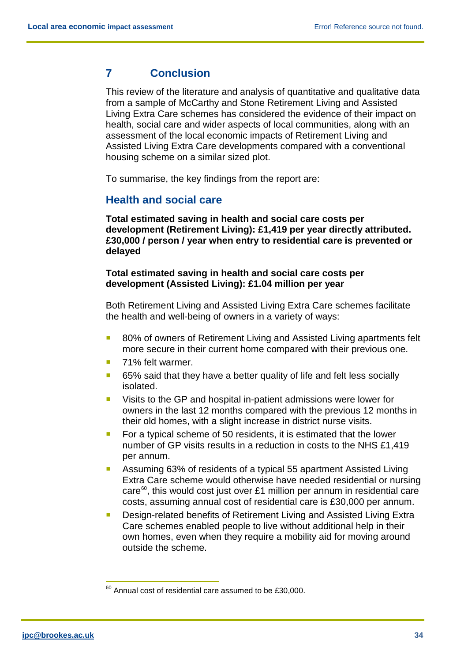# <span id="page-34-0"></span>**7 Conclusion**

This review of the literature and analysis of quantitative and qualitative data from a sample of McCarthy and Stone Retirement Living and Assisted Living Extra Care schemes has considered the evidence of their impact on health, social care and wider aspects of local communities, along with an assessment of the local economic impacts of Retirement Living and Assisted Living Extra Care developments compared with a conventional housing scheme on a similar sized plot.

<span id="page-34-1"></span>To summarise, the key findings from the report are:

# **Health and social care**

**Total estimated saving in health and social care costs per development (Retirement Living): £1,419 per year directly attributed. £30,000 / person / year when entry to residential care is prevented or delayed**

#### **Total estimated saving in health and social care costs per development (Assisted Living): £1.04 million per year**

Both Retirement Living and Assisted Living Extra Care schemes facilitate the health and well-being of owners in a variety of ways:

- 80% of owners of Retirement Living and Assisted Living apartments felt more secure in their current home compared with their previous one.
- 71% felt warmer.
- 65% said that they have a better quality of life and felt less socially isolated.
- **UI** Visits to the GP and hospital in-patient admissions were lower for owners in the last 12 months compared with the previous 12 months in their old homes, with a slight increase in district nurse visits.
- For a typical scheme of 50 residents, it is estimated that the lower number of GP visits results in a reduction in costs to the NHS £1,419 per annum.
- Assuming 63% of residents of a typical 55 apartment Assisted Living Extra Care scheme would otherwise have needed residential or nursing care<sup>[60](#page-34-2)</sup>, this would cost just over £1 million per annum in residential care costs, assuming annual cost of residential care is £30,000 per annum.
- **Design-related benefits of Retirement Living and Assisted Living Extra** Care schemes enabled people to live without additional help in their own homes, even when they require a mobility aid for moving around outside the scheme.

<span id="page-34-2"></span> $60$  Annual cost of residential care assumed to be £30,000.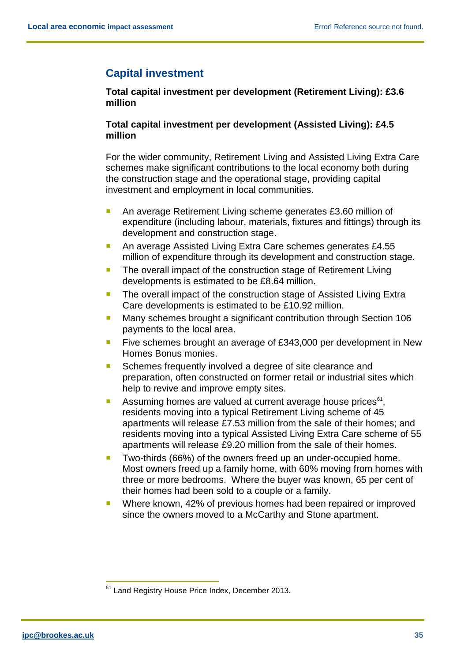# <span id="page-35-0"></span>**Capital investment**

## **Total capital investment per development (Retirement Living): £3.6 million**

## **Total capital investment per development (Assisted Living): £4.5 million**

For the wider community, Retirement Living and Assisted Living Extra Care schemes make significant contributions to the local economy both during the construction stage and the operational stage, providing capital investment and employment in local communities.

- An average Retirement Living scheme generates £3.60 million of expenditure (including labour, materials, fixtures and fittings) through its development and construction stage.
- An average Assisted Living Extra Care schemes generates £4.55 million of expenditure through its development and construction stage.
- **The overall impact of the construction stage of Retirement Living** developments is estimated to be £8.64 million.
- **The overall impact of the construction stage of Assisted Living Extra** Care developments is estimated to be £10.92 million.
- **Many schemes brought a significant contribution through Section 106** payments to the local area.
- **Five schemes brought an average of £343,000 per development in New** Homes Bonus monies.
- Schemes frequently involved a degree of site clearance and preparation, often constructed on former retail or industrial sites which help to revive and improve empty sites.
- Assuming homes are valued at current average house prices $e^{i\theta}$ , residents moving into a typical Retirement Living scheme of 45 apartments will release £7.53 million from the sale of their homes; and residents moving into a typical Assisted Living Extra Care scheme of 55 apartments will release £9.20 million from the sale of their homes.
- Two-thirds (66%) of the owners freed up an under-occupied home. Most owners freed up a family home, with 60% moving from homes with three or more bedrooms. Where the buyer was known, 65 per cent of their homes had been sold to a couple or a family.
- Where known, 42% of previous homes had been repaired or improved since the owners moved to a McCarthy and Stone apartment.

<span id="page-35-1"></span><sup>&</sup>lt;sup>61</sup> Land Registry House Price Index, December 2013.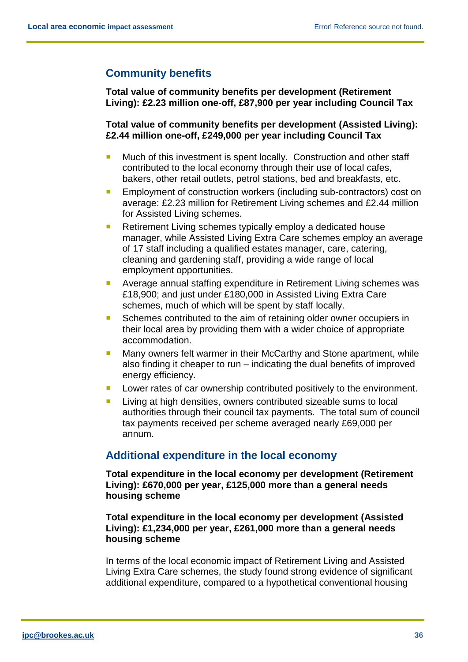# <span id="page-36-0"></span>**Community benefits**

**Total value of community benefits per development (Retirement Living): £2.23 million one-off, £87,900 per year including Council Tax**

**Total value of community benefits per development (Assisted Living): £2.44 million one-off, £249,000 per year including Council Tax**

- Much of this investment is spent locally. Construction and other staff contributed to the local economy through their use of local cafes, bakers, other retail outlets, petrol stations, bed and breakfasts, etc.
- **Employment of construction workers (including sub-contractors) cost on** average: £2.23 million for Retirement Living schemes and £2.44 million for Assisted Living schemes.
- Retirement Living schemes typically employ a dedicated house manager, while Assisted Living Extra Care schemes employ an average of 17 staff including a qualified estates manager, care, catering, cleaning and gardening staff, providing a wide range of local employment opportunities.
- **Average annual staffing expenditure in Retirement Living schemes was** £18,900; and just under £180,000 in Assisted Living Extra Care schemes, much of which will be spent by staff locally.
- Schemes contributed to the aim of retaining older owner occupiers in their local area by providing them with a wider choice of appropriate accommodation.
- **Many owners felt warmer in their McCarthy and Stone apartment, while** also finding it cheaper to run – indicating the dual benefits of improved energy efficiency.
- **Lower rates of car ownership contributed positively to the environment.**
- **Living at high densities, owners contributed sizeable sums to local** authorities through their council tax payments. The total sum of council tax payments received per scheme averaged nearly £69,000 per annum.

# <span id="page-36-1"></span>**Additional expenditure in the local economy**

**Total expenditure in the local economy per development (Retirement Living): £670,000 per year, £125,000 more than a general needs housing scheme**

**Total expenditure in the local economy per development (Assisted Living): £1,234,000 per year, £261,000 more than a general needs housing scheme**

In terms of the local economic impact of Retirement Living and Assisted Living Extra Care schemes, the study found strong evidence of significant additional expenditure, compared to a hypothetical conventional housing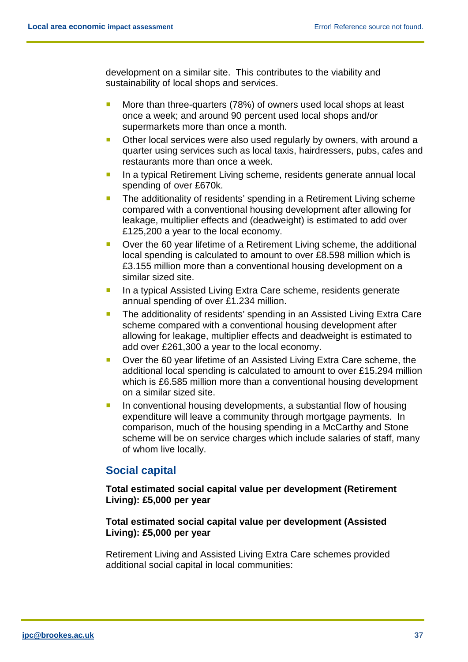development on a similar site. This contributes to the viability and sustainability of local shops and services.

- More than three-quarters (78%) of owners used local shops at least once a week; and around 90 percent used local shops and/or supermarkets more than once a month.
- **Diamage 1** Other local services were also used regularly by owners, with around a quarter using services such as local taxis, hairdressers, pubs, cafes and restaurants more than once a week.
- **In a typical Retirement Living scheme, residents generate annual local** spending of over £670k.
- The additionality of residents' spending in a Retirement Living scheme compared with a conventional housing development after allowing for leakage, multiplier effects and (deadweight) is estimated to add over £125,200 a year to the local economy.
- Over the 60 year lifetime of a Retirement Living scheme, the additional local spending is calculated to amount to over £8.598 million which is £3.155 million more than a conventional housing development on a similar sized site.
- **In a typical Assisted Living Extra Care scheme, residents generate** annual spending of over £1.234 million.
- **The additionality of residents' spending in an Assisted Living Extra Care** scheme compared with a conventional housing development after allowing for leakage, multiplier effects and deadweight is estimated to add over £261,300 a year to the local economy.
- Over the 60 year lifetime of an Assisted Living Extra Care scheme, the additional local spending is calculated to amount to over £15.294 million which is £6.585 million more than a conventional housing development on a similar sized site.
- **If** In conventional housing developments, a substantial flow of housing expenditure will leave a community through mortgage payments. In comparison, much of the housing spending in a McCarthy and Stone scheme will be on service charges which include salaries of staff, many of whom live locally.

# <span id="page-37-0"></span>**Social capital**

## **Total estimated social capital value per development (Retirement Living): £5,000 per year**

## **Total estimated social capital value per development (Assisted Living): £5,000 per year**

Retirement Living and Assisted Living Extra Care schemes provided additional social capital in local communities: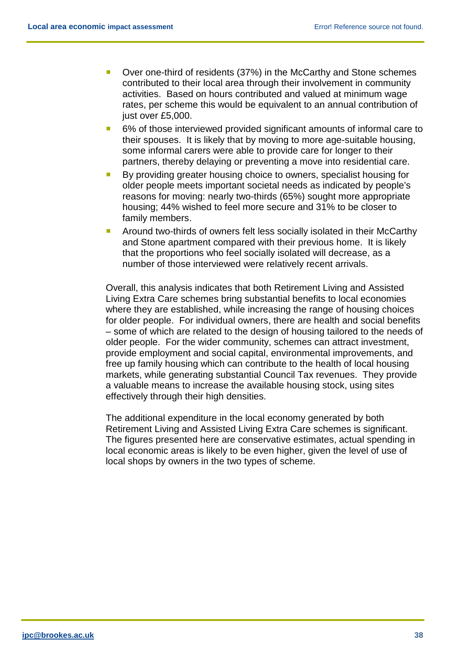- Over one-third of residents (37%) in the McCarthy and Stone schemes contributed to their local area through their involvement in community activities. Based on hours contributed and valued at minimum wage rates, per scheme this would be equivalent to an annual contribution of just over £5,000.
- 6% of those interviewed provided significant amounts of informal care to their spouses. It is likely that by moving to more age-suitable housing, some informal carers were able to provide care for longer to their partners, thereby delaying or preventing a move into residential care.
- By providing greater housing choice to owners, specialist housing for older people meets important societal needs as indicated by people's reasons for moving: nearly two-thirds (65%) sought more appropriate housing; 44% wished to feel more secure and 31% to be closer to family members.
- Around two-thirds of owners felt less socially isolated in their McCarthy and Stone apartment compared with their previous home. It is likely that the proportions who feel socially isolated will decrease, as a number of those interviewed were relatively recent arrivals.

Overall, this analysis indicates that both Retirement Living and Assisted Living Extra Care schemes bring substantial benefits to local economies where they are established, while increasing the range of housing choices for older people. For individual owners, there are health and social benefits – some of which are related to the design of housing tailored to the needs of older people. For the wider community, schemes can attract investment, provide employment and social capital, environmental improvements, and free up family housing which can contribute to the health of local housing markets, while generating substantial Council Tax revenues. They provide a valuable means to increase the available housing stock, using sites effectively through their high densities.

The additional expenditure in the local economy generated by both Retirement Living and Assisted Living Extra Care schemes is significant. The figures presented here are conservative estimates, actual spending in local economic areas is likely to be even higher, given the level of use of local shops by owners in the two types of scheme.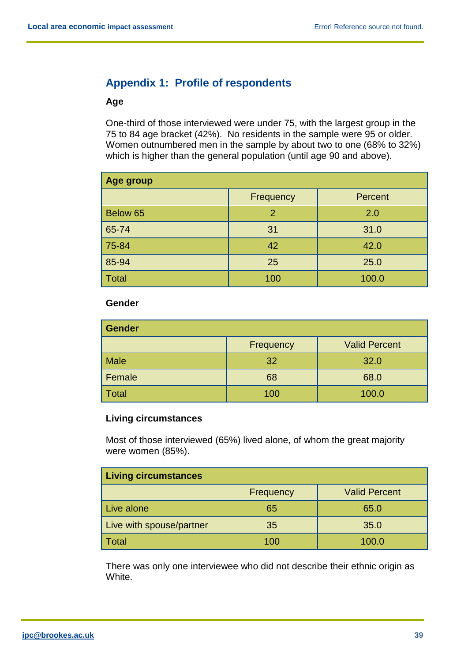# <span id="page-39-0"></span>**Appendix 1: Profile of respondents**

#### **Age**

One-third of those interviewed were under 75, with the largest group in the 75 to 84 age bracket (42%). No residents in the sample were 95 or older. Women outnumbered men in the sample by about two to one (68% to 32%) which is higher than the general population (until age 90 and above).

| Age group    |           |         |  |
|--------------|-----------|---------|--|
|              | Frequency | Percent |  |
| Below 65     | 2         | 2.0     |  |
| 65-74        | 31        | 31.0    |  |
| 75-84        | 42        | 42.0    |  |
| 85-94        | 25        | 25.0    |  |
| <b>Total</b> | 100       | 100.0   |  |

#### **Gender**

| <b>Gender</b> |           |                      |  |
|---------------|-----------|----------------------|--|
|               | Frequency | <b>Valid Percent</b> |  |
| <b>Male</b>   | 32        | 32.0                 |  |
| Female        | 68        | 68.0                 |  |
| <b>Total</b>  | 100       | 100.0                |  |

#### **Living circumstances**

Most of those interviewed (65%) lived alone, of whom the great majority were women (85%).

| <b>Living circumstances</b> |           |                      |  |
|-----------------------------|-----------|----------------------|--|
|                             | Frequency | <b>Valid Percent</b> |  |
| Live alone                  | 65        | 65.0                 |  |
| Live with spouse/partner    | 35        | 35.0                 |  |
| <b>Total</b>                | 100       | 100.0                |  |

There was only one interviewee who did not describe their ethnic origin as White.